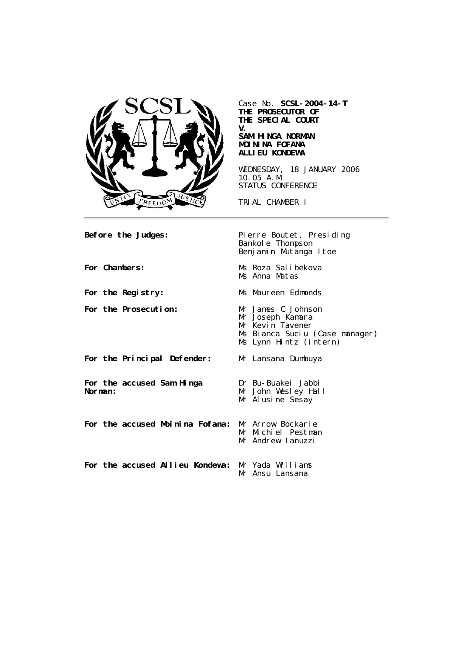

Case No. **SCSL-2004-14-T THE PROSECUTOR OF THE SPECIAL COURT V. SAM HINGA NORMAN MOININA FOFANA ALLIEU KONDEWA**

WEDNESDAY, 18 JANUARY 2006 10.05 A.M. STATUS CONFERENCE

TRIAL CHAMBER I

Before the Judges: Pierre Boutet, Presiding Bankole Thompson Benjamin Mutanga Itoe **For Chambers:** Ms Roza Salibekova Ms Anna Matas For the Registry: Ms Maureen Edmonds For the Prosecution: Mr James C Johnson<br>Mr Joseph Kamara Mr Kevin Tavener Ms Bianca Suciu (Case manager) Ms Lynn Hintz (intern) **For the Principal Defender:** Mr Lansana Dumbuya **For the accused Sam Hinga Norman:** Dr Bu-Buakei Jabbi Mr John Wesley Hall Mr Alusine Sesay **For the accused Moinina Fofana:** Mr Arrow Bockarie Mr Michiel Pestman Mr Andrew Ianuzzi **For the accused Allieu Kondewa:** Mr Yada Williams Mr Ansu Lansana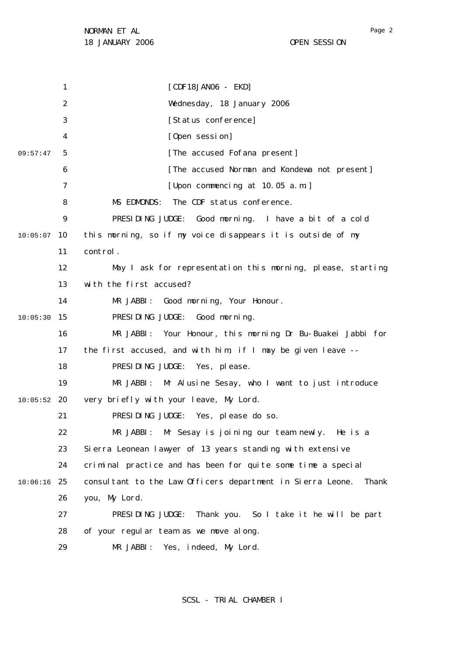1 2 3 4 5 6 7 8  $\mathsf{Q}$ 10 10:05:07 11 12 13 14 15 10:05:30 16 17 18 19 20 10:05:52 21 22 23 24 25 10:06:16 26 27 28 29 09:57:47 [CDF18JAN06 - EKD] Wednesday, 18 January 2006 [Status conference] [Open session] [The accused Fofana present] [The accused Norman and Kondewa not present] [Upon commencing at 10.05 a.m.] MS EDMONDS: The CDF status conference. PRESIDING JUDGE: Good morning. I have a bit of a cold this morning, so if my voice disappears it is outside of my control. May I ask for representation this morning, please, starting with the first accused? MR JABBI: Good morning, Your Honour. PRESIDING JUDGE: Good morning. MR JABBI: Your Honour, this morning Dr Bu-Buakei Jabbi for the first accused, and with him, if I may be given leave -- PRESIDING JUDGE: Yes, please. MR JABBI: Mr Alusine Sesay, who I want to just introduce very briefly with your leave, My Lord. PRESIDING JUDGE: Yes, please do so. MR JABBI: Mr Sesay is joining our team newly. He is a Sierra Leonean lawyer of 13 years standing with extensive criminal practice and has been for quite some time a special consultant to the Law Officers department in Sierra Leone. Thank you, My Lord. PRESIDING JUDGE: Thank you. So I take it he will be part of your regular team as we move along. MR JABBI: Yes, indeed, My Lord.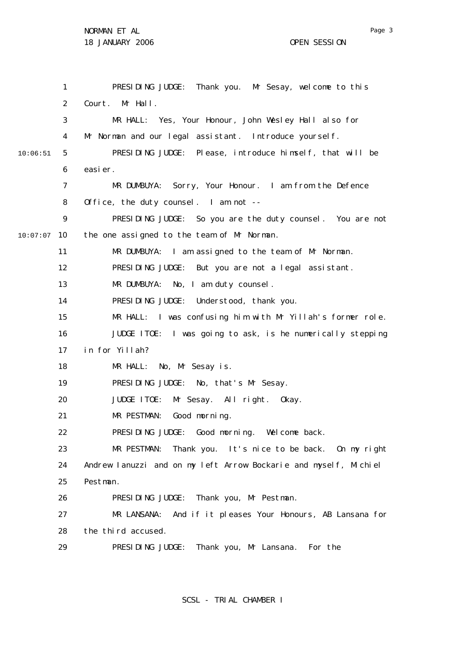1 2 3 4 5 6 7 8  $\mathsf{Q}$ 10 10:07:07 11 12 13 14 15 16 17 18 19 20 21 22 23 24 25 26 27 28 29 10:06:51 PRESIDING JUDGE: Thank you. Mr Sesay, welcome to this Court. Mr Hall. MR HALL: Yes, Your Honour, John Wesley Hall also for Mr Norman and our legal assistant. Introduce yourself. PRESIDING JUDGE: Please, introduce himself, that will be easier. MR DUMBUYA: Sorry, Your Honour. I am from the Defence Office, the duty counsel. I am not -- PRESIDING JUDGE: So you are the duty counsel. You are not the one assigned to the team of Mr Norman. MR DUMBUYA: I am assigned to the team of Mr Norman. PRESIDING JUDGE: But you are not a legal assistant. MR DUMBUYA: No, I am duty counsel. PRESIDING JUDGE: Understood, thank you. MR HALL: I was confusing him with Mr Yillah's former role. JUDGE ITOE: I was going to ask, is he numerically stepping in for Yillah? MR HALL: No, Mr Sesay is. PRESIDING JUDGE: No, that's Mr Sesay. JUDGE ITOE: Mr Sesay. All right. Okay. MR PESTMAN: Good morning. PRESIDING JUDGE: Good morning. Welcome back. MR PESTMAN: Thank you. It's nice to be back. On my right Andrew Ianuzzi and on my left Arrow Bockarie and myself, Michiel Pestman. PRESIDING JUDGE: Thank you, Mr Pestman. MR LANSANA: And if it pleases Your Honours, AB Lansana for the third accused. PRESIDING JUDGE: Thank you, Mr Lansana. For the

SCSL - TRIAL CHAMBER I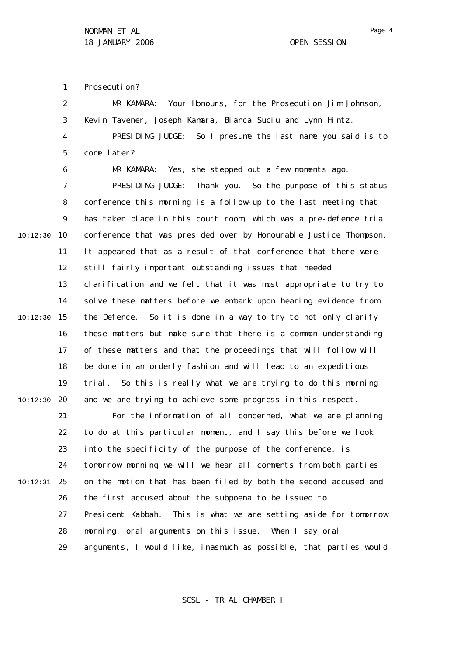1 Prosecution?

|          | 2              | MR KAMARA: Your Honours, for the Prosecution Jim Johnson,           |
|----------|----------------|---------------------------------------------------------------------|
|          | 3              | Kevin Tavener, Joseph Kamara, Bianca Suciu and Lynn Hintz.          |
|          | $\overline{4}$ | PRESIDING JUDGE: So I presume the last name you said is to          |
|          | 5              | come later?                                                         |
|          | 6              | MR KAMARA: Yes, she stepped out a few moments ago.                  |
|          | $\overline{7}$ | PRESIDING JUDGE: Thank you. So the purpose of this status           |
|          | 8              | conference this morning is a follow-up to the last meeting that     |
|          | 9              | has taken place in this court room, which was a pre-defence trial   |
| 10:12:30 | 10             | conference that was presided over by Honourable Justice Thompson.   |
|          | 11             | It appeared that as a result of that conference that there were     |
|          | 12             | still fairly important outstanding issues that needed               |
|          | 13             | clarification and we felt that it was most appropriate to try to    |
|          | 14             | solve these matters before we embark upon hearing evidence from     |
| 10:12:30 | 15             | the Defence. So it is done in a way to try to not only clarify      |
|          | 16             | these matters but make sure that there is a common understanding    |
|          | 17             | of these matters and that the proceedings that will follow will     |
|          | 18             | be done in an orderly fashion and will lead to an expeditious       |
|          | 19             | So this is really what we are trying to do this morning<br>tri al . |
| 10:12:30 | 20             | and we are trying to achieve some progress in this respect.         |
|          | 21             | For the information of all concerned, what we are planning          |
|          | 22             | to do at this particular moment, and I say this before we look      |
|          | 23.            | into the specificity of the purpose of the conference, is           |
|          | 24             | tomorrow morning we will we hear all comments from both parties     |
| 10:12:31 | 25             | on the motion that has been filed by both the second accused and    |
|          | 26             | the first accused about the subpoena to be issued to                |
|          | 27             | President Kabbah. This is what we are setting aside for tomorrow    |
|          | 28             | morning, oral arguments on this issue. When I say oral              |
|          | 29             | arguments, I would like, inasmuch as possible, that parties would   |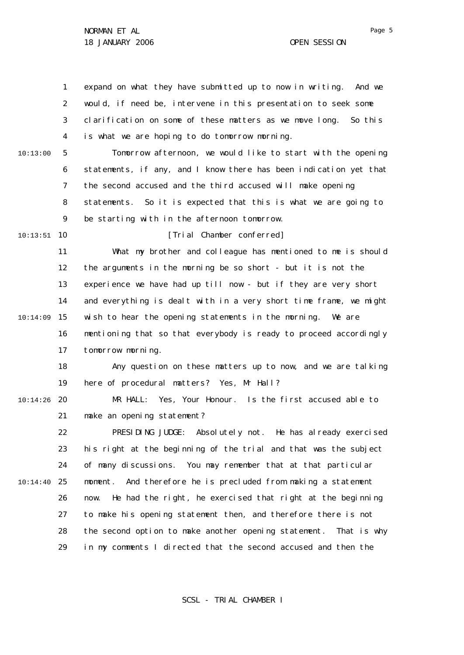|          | $\mathbf{1}$ | expand on what they have submitted up to now in writing.<br>And we  |
|----------|--------------|---------------------------------------------------------------------|
|          | 2            | would, if need be, intervene in this presentation to seek some      |
|          | 3            | clarification on some of these matters as we move long. So this     |
|          | 4            | is what we are hoping to do tomorrow morning.                       |
| 10:13:00 | 5            | Tomorrow afternoon, we would like to start with the opening         |
|          | 6            | statements, if any, and I know there has been indication yet that   |
|          | 7            | the second accused and the third accused will make opening          |
|          | 8            | statements. So it is expected that this is what we are going to     |
|          | 9            | be starting with in the afternoon tomorrow.                         |
| 10:13:51 | 10           | [Trial Chamber conferred]                                           |
|          | 11           | What my brother and colleague has mentioned to me is should         |
|          | 12           | the arguments in the morning be so short - but it is not the        |
|          | 13           | experience we have had up till now - but if they are very short     |
|          | 14           | and everything is dealt with in a very short time frame, we might   |
| 10:14:09 | 15           | wish to hear the opening statements in the morning.<br>We are       |
|          | 16           | mentioning that so that everybody is ready to proceed accordingly   |
|          | 17           | tomorrow morning.                                                   |
|          | 18           | Any question on these matters up to now, and we are talking         |
|          | 19           | here of procedural matters? Yes, Mr Hall?                           |
| 10:14:26 | 20           | MR HALL: Yes, Your Honour. Is the first accused able to             |
|          | 21           | make an opening statement?                                          |
|          | 22           | PRESIDING JUDGE: Absolutely not. He has already exercised           |
|          | 23           | his right at the beginning of the trial and that was the subject    |
|          | 24           | of many discussions. You may remember that at that particular       |
| 10:14:40 | 25           | And therefore he is precluded from making a statement<br>moment.    |
|          | 26           | He had the right, he exercised that right at the beginning<br>now.  |
|          | 27           | to make his opening statement then, and therefore there is not      |
|          | 28           | the second option to make another opening statement.<br>That is why |
|          | 29           | in my comments I directed that the second accused and then the      |

SCSL - TRIAL CHAMBER I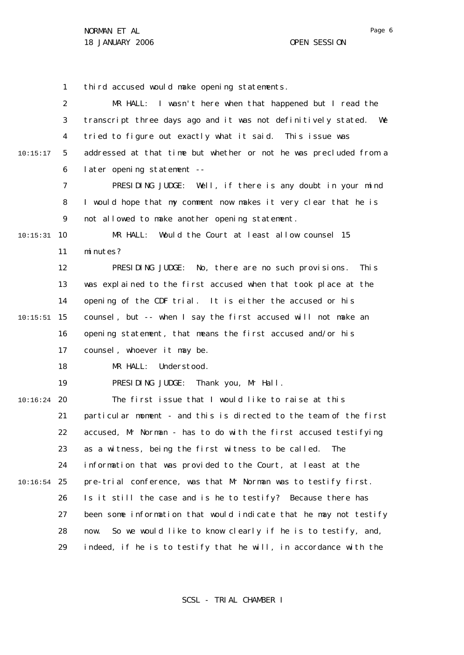1 2 3 4 5 6 7 8  $\mathsf{Q}$ 10 10:15:31 11 12 13 14 15 10:15:51 16 17 18 19 20 10:16:24 21 22 23 24 25 10:16:54 26 27 28 29 10:15:17 third accused would make opening statements. MR HALL: I wasn't here when that happened but I read the transcript three days ago and it was not definitively stated. We tried to figure out exactly what it said. This issue was addressed at that time but whether or not he was precluded from a later opening statement -- PRESIDING JUDGE: Well, if there is any doubt in your mind I would hope that my comment now makes it very clear that he is not allowed to make another opening statement. MR HALL: Would the Court at least allow counsel 15 minutes? PRESIDING JUDGE: No, there are no such provisions. This was explained to the first accused when that took place at the opening of the CDF trial. It is either the accused or his counsel, but -- when I say the first accused will not make an opening statement, that means the first accused and/or his counsel, whoever it may be. MR HALL: Understood. PRESIDING JUDGE: Thank you, Mr Hall. The first issue that I would like to raise at this particular moment - and this is directed to the team of the first accused, Mr Norman - has to do with the first accused testifying as a witness, being the first witness to be called. The information that was provided to the Court, at least at the pre-trial conference, was that Mr Norman was to testify first. Is it still the case and is he to testify? Because there has been some information that would indicate that he may not testify now. So we would like to know clearly if he is to testify, and, indeed, if he is to testify that he will, in accordance with the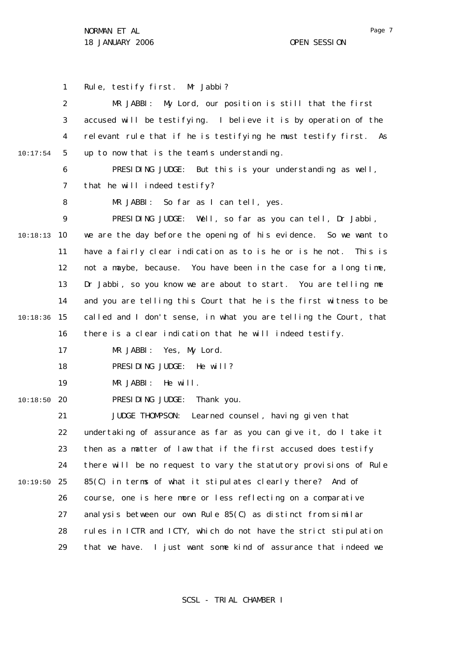1 2 3 4 5 6 7 8  $\mathsf{Q}$ 10 10:18:13 11 12 13 14 15 10:18:36 16 17 18 19 20 10:18:50 21 22 23 24 25 10:19:50 26 27 28 29 10:17:54 Rule, testify first. Mr Jabbi? MR JABBI: My Lord, our position is still that the first accused will be testifying. I believe it is by operation of the relevant rule that if he is testifying he must testify first. As up to now that is the team's understanding. PRESIDING JUDGE: But this is your understanding as well, that he will indeed testify? MR JABBI: So far as I can tell, yes. PRESIDING JUDGE: Well, so far as you can tell, Dr Jabbi, we are the day before the opening of his evidence. So we want to have a fairly clear indication as to is he or is he not. This is not a maybe, because. You have been in the case for a long time, Dr Jabbi, so you know we are about to start. You are telling me and you are telling this Court that he is the first witness to be called and I don't sense, in what you are telling the Court, that there is a clear indication that he will indeed testify. MR JABBI: Yes, My Lord. PRESIDING JUDGE: He will? MR JABBI: He will. PRESIDING JUDGE: Thank you. JUDGE THOMPSON: Learned counsel, having given that undertaking of assurance as far as you can give it, do I take it then as a matter of law that if the first accused does testify there will be no request to vary the statutory provisions of Rule 85(C) in terms of what it stipulates clearly there? And of course, one is here more or less reflecting on a comparative analysis between our own Rule 85(C) as distinct from similar rules in ICTR and ICTY, which do not have the strict stipulation that we have. I just want some kind of assurance that indeed we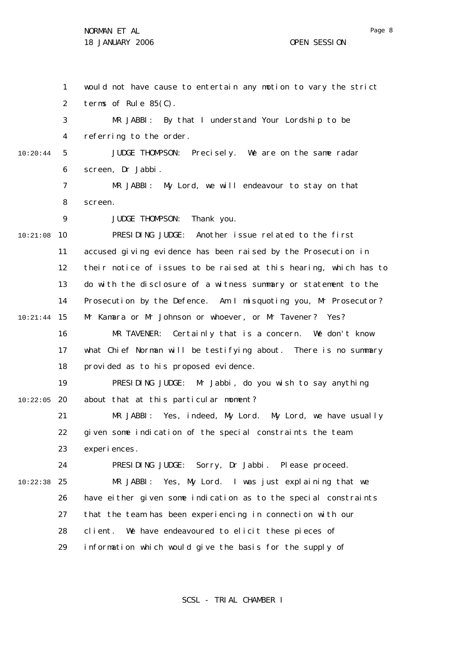1 2 3 4 5 6 7 8  $\mathsf{Q}$ 10 10:21:08 11 12 13 14 15 10:21:44 16 17 18 19 20 10:22:05 21 22 23 24 25 10:22:38 26 27 28 29 10:20:44 would not have cause to entertain any motion to vary the strict terms of Rule 85(C). MR JABBI: By that I understand Your Lordship to be referring to the order. JUDGE THOMPSON: Precisely. We are on the same radar screen, Dr Jabbi. MR JABBI: My Lord, we will endeavour to stay on that screen. JUDGE THOMPSON: Thank you. PRESIDING JUDGE: Another issue related to the first accused giving evidence has been raised by the Prosecution in their notice of issues to be raised at this hearing, which has to do with the disclosure of a witness summary or statement to the Prosecution by the Defence. Am I misquoting you, Mr Prosecutor? Mr Kamara or Mr Johnson or whoever, or Mr Tavener? Yes? MR TAVENER: Certainly that is a concern. We don't know what Chief Norman will be testifying about. There is no summary provided as to his proposed evidence. PRESIDING JUDGE: Mr Jabbi, do you wish to say anything about that at this particular moment? MR JABBI: Yes, indeed, My Lord. My Lord, we have usually given some indication of the special constraints the team experiences. PRESIDING JUDGE: Sorry, Dr Jabbi. Please proceed. MR JABBI: Yes, My Lord. I was just explaining that we have either given some indication as to the special constraints that the team has been experiencing in connection with our client. We have endeavoured to elicit these pieces of information which would give the basis for the supply of

SCSL - TRIAL CHAMBER I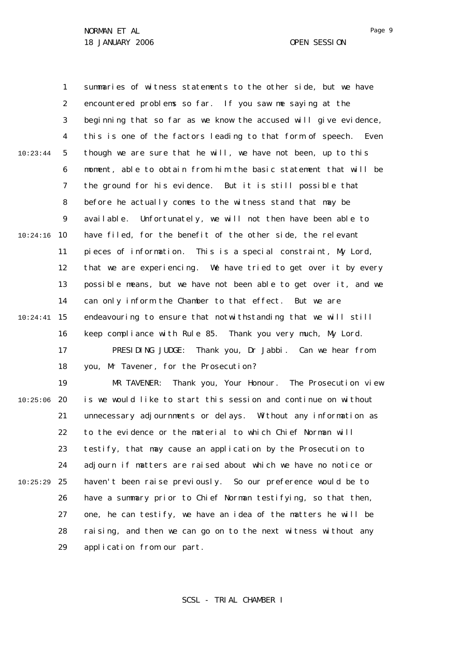1 2 3 4 5 6 7 8  $\mathsf{Q}$ 10 10:24:16 11 12 13 14 15 10:24:41 16 17 18 19 20 10:25:06 21 22 10:23:44 summaries of witness statements to the other side, but we have encountered problems so far. If you saw me saying at the beginning that so far as we know the accused will give evidence, this is one of the factors leading to that form of speech. Even though we are sure that he will, we have not been, up to this moment, able to obtain from him the basic statement that will be the ground for his evidence. But it is still possible that before he actually comes to the witness stand that may be available. Unfortunately, we will not then have been able to have filed, for the benefit of the other side, the relevant pieces of information. This is a special constraint, My Lord, that we are experiencing. We have tried to get over it by every possible means, but we have not been able to get over it, and we can only inform the Chamber to that effect. But we are endeavouring to ensure that notwithstanding that we will still keep compliance with Rule 85. Thank you very much, My Lord. PRESIDING JUDGE: Thank you, Dr Jabbi. Can we hear from you, Mr Tavener, for the Prosecution? MR TAVENER: Thank you, Your Honour. The Prosecution view is we would like to start this session and continue on without unnecessary adjournments or delays. Without any information as to the evidence or the material to which Chief Norman will

23 24 25 10:25:29 26 27 28 29 testify, that may cause an application by the Prosecution to adjourn if matters are raised about which we have no notice or haven't been raise previously. So our preference would be to have a summary prior to Chief Norman testifying, so that then, one, he can testify, we have an idea of the matters he will be raising, and then we can go on to the next witness without any application from our part.

SCSL - TRIAL CHAMBER I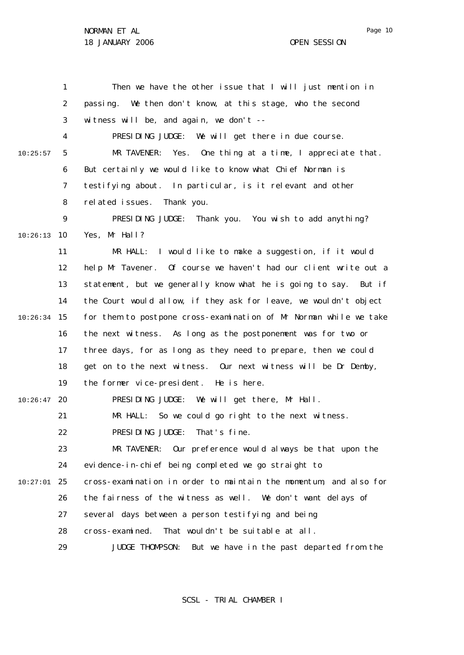1 2 3 4 5 6 7 8  $\mathsf{Q}$ 10 10:26:13 11 12 13 14 15 10:26:34 16 17 18 19 20 10:26:47 21 22 23 24 25 10:27:01 26 27 28 29 10:25:57 Then we have the other issue that I will just mention in passing. We then don't know, at this stage, who the second witness will be, and again, we don't --PRESIDING JUDGE: We will get there in due course. MR TAVENER: Yes. One thing at a time, I appreciate that. But certainly we would like to know what Chief Norman is testifying about. In particular, is it relevant and other related issues. Thank you. PRESIDING JUDGE: Thank you. You wish to add anything? Yes, Mr Hall? MR HALL: I would like to make a suggestion, if it would help Mr Tavener. Of course we haven't had our client write out a statement, but we generally know what he is going to say. But if the Court would allow, if they ask for leave, we wouldn't object for them to postpone cross-examination of Mr Norman while we take the next witness. As long as the postponement was for two or three days, for as long as they need to prepare, then we could get on to the next witness. Our next witness will be Dr Demby, the former vice-president. He is here. PRESIDING JUDGE: We will get there, Mr Hall. MR HALL: So we could go right to the next witness. PRESIDING JUDGE: That's fine. MR TAVENER: Our preference would always be that upon the evidence-in-chief being completed we go straight to cross-examination in order to maintain the momentum, and also for the fairness of the witness as well. We don't want delays of several days between a person testifying and being cross-examined. That wouldn't be suitable at all. JUDGE THOMPSON: But we have in the past departed from the

SCSL - TRIAL CHAMBER I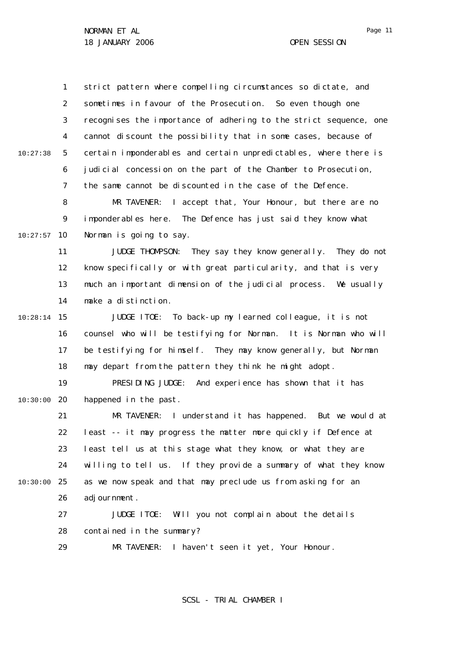1 2 3 4 5 6 7 8  $\mathsf{Q}$ 10 10:27:57 11 12 13 14 15 10:28:14 16 17 18 19 20 10:30:00 21 22 23 24 25 10:30:00 26 27 28 29 10:27:38 strict pattern where compelling circumstances so dictate, and sometimes in favour of the Prosecution. So even though one recognises the importance of adhering to the strict sequence, one cannot discount the possibility that in some cases, because of certain imponderables and certain unpredictables, where there is judicial concession on the part of the Chamber to Prosecution, the same cannot be discounted in the case of the Defence. MR TAVENER: I accept that, Your Honour, but there are no imponderables here. The Defence has just said they know what Norman is going to say. JUDGE THOMPSON: They say they know generally. They do not know specifically or with great particularity, and that is very much an important dimension of the judicial process. We usually make a distinction. JUDGE ITOE: To back-up my learned colleague, it is not counsel who will be testifying for Norman. It is Norman who will be testifying for himself. They may know generally, but Norman may depart from the pattern they think he might adopt. PRESIDING JUDGE: And experience has shown that it has happened in the past. MR TAVENER: I understand it has happened. But we would at least -- it may progress the matter more quickly if Defence at least tell us at this stage what they know, or what they are willing to tell us. If they provide a summary of what they know as we now speak and that may preclude us from asking for an adjournment. JUDGE ITOE: Will you not complain about the details contained in the summary? MR TAVENER: I haven't seen it yet, Your Honour.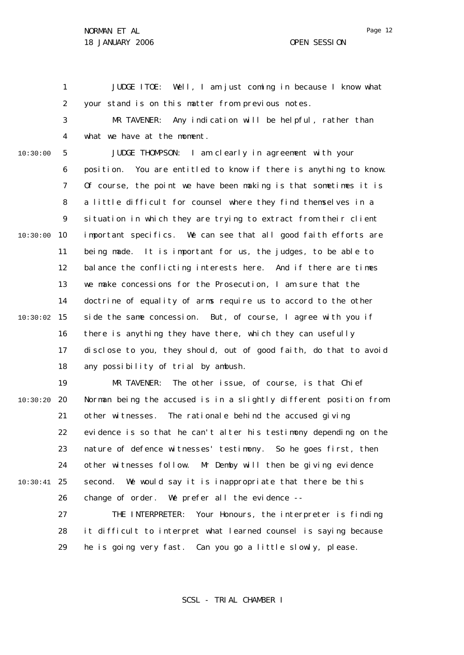1

29

JUDGE ITOE: Well, I am just coming in because I know what

2 3 4 5 6 7 8  $\mathsf{Q}$ 10 10:30:00 11 12 13 14 15 10:30:02 16 17 18 19 20 10:30:20 21 22 23 24 25 10:30:41 26 27 28 10:30:00 your stand is on this matter from previous notes. MR TAVENER: Any indication will be helpful, rather than what we have at the moment. JUDGE THOMPSON: I am clearly in agreement with your position. You are entitled to know if there is anything to know. Of course, the point we have been making is that sometimes it is a little difficult for counsel where they find themselves in a situation in which they are trying to extract from their client important specifics. We can see that all good faith efforts are being made. It is important for us, the judges, to be able to balance the conflicting interests here. And if there are times we make concessions for the Prosecution, I am sure that the doctrine of equality of arms require us to accord to the other side the same concession. But, of course, I agree with you if there is anything they have there, which they can usefully disclose to you, they should, out of good faith, do that to avoid any possibility of trial by ambush. MR TAVENER: The other issue, of course, is that Chief Norman being the accused is in a slightly different position from other witnesses. The rationale behind the accused giving evidence is so that he can't alter his testimony depending on the nature of defence witnesses' testimony. So he goes first, then other witnesses follow. Mr Demby will then be giving evidence second. We would say it is inappropriate that there be this change of order. We prefer all the evidence -- THE INTERPRETER: Your Honours, the interpreter is finding it difficult to interpret what learned counsel is saying because

he is going very fast. Can you go a little slowly, please.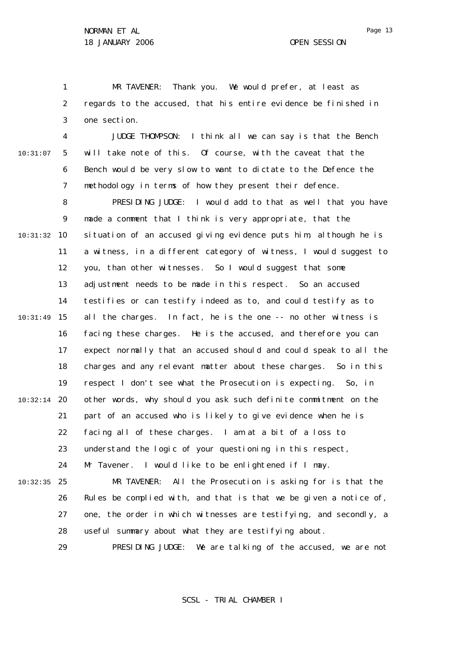28

1 2 3 MR TAVENER: Thank you. We would prefer, at least as regards to the accused, that his entire evidence be finished in one section.

4 5 6 7 10:31:07 JUDGE THOMPSON: I think all we can say is that the Bench will take note of this. Of course, with the caveat that the Bench would be very slow to want to dictate to the Defence the methodology in terms of how they present their defence.

8  $\mathsf{Q}$ 10 10:31:32 11 12 13 14 15 10:31:49 16 17 18 19 20 10:32:14 21 22 23 24 25 10:32:35 26 27 PRESIDING JUDGE: I would add to that as well that you have made a comment that I think is very appropriate, that the situation of an accused giving evidence puts him, although he is a witness, in a different category of witness, I would suggest to you, than other witnesses. So I would suggest that some adjustment needs to be made in this respect. So an accused testifies or can testify indeed as to, and could testify as to all the charges. In fact, he is the one -- no other witness is facing these charges. He is the accused, and therefore you can expect normally that an accused should and could speak to all the charges and any relevant matter about these charges. So in this respect I don't see what the Prosecution is expecting. So, in other words, why should you ask such definite commitment on the part of an accused who is likely to give evidence when he is facing all of these charges. I am at a bit of a loss to understand the logic of your questioning in this respect, Mr Tavener. I would like to be enlightened if I may. MR TAVENER: All the Prosecution is asking for is that the Rules be complied with, and that is that we be given a notice of, one, the order in which witnesses are testifying, and secondly, a

> 29 PRESIDING JUDGE: We are talking of the accused, we are not

useful summary about what they are testifying about.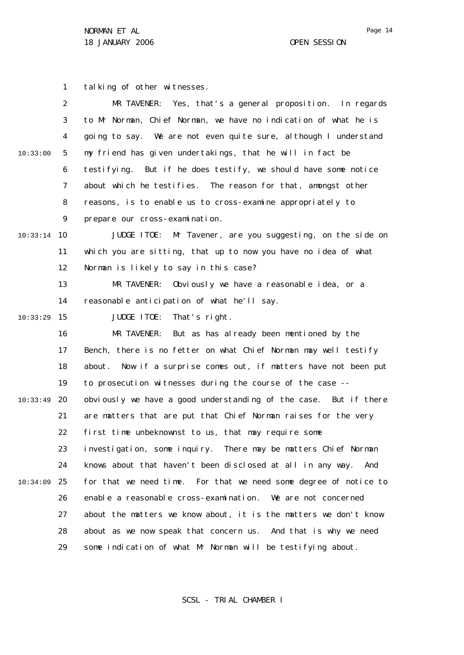1 2 3 4 5 6 7 8  $\mathsf{Q}$ 10 10:33:14 11 12 13 14 15 10:33:29 16 17 18 19 20 10:33:49 21 22 23 24 25 10:34:09 26 27 28 10:33:00 tal king of other witnesses. MR TAVENER: Yes, that's a general proposition. In regards to Mr Norman, Chief Norman, we have no indication of what he is going to say. We are not even quite sure, although I understand my friend has given undertakings, that he will in fact be testifying. But if he does testify, we should have some notice about which he testifies. The reason for that, amongst other reasons, is to enable us to cross-examine appropriately to prepare our cross-examination. JUDGE ITOE: Mr Tavener, are you suggesting, on the side on which you are sitting, that up to now you have no idea of what Norman is likely to say in this case? MR TAVENER: Obviously we have a reasonable idea, or a reasonable anticipation of what he'll say. JUDGE ITOE: That's right. MR TAVENER: But as has already been mentioned by the Bench, there is no fetter on what Chief Norman may well testify about. Now if a surprise comes out, if matters have not been put to prosecution witnesses during the course of the case - obviously we have a good understanding of the case. But if there are matters that are put that Chief Norman raises for the very first time unbeknownst to us, that may require some investigation, some inquiry. There may be matters Chief Norman knows about that haven't been disclosed at all in any way. And for that we need time. For that we need some degree of notice to enable a reasonable cross-examination. We are not concerned about the matters we know about, it is the matters we don't know about as we now speak that concern us. And that is why we need

29 some indication of what Mr Norman will be testifying about.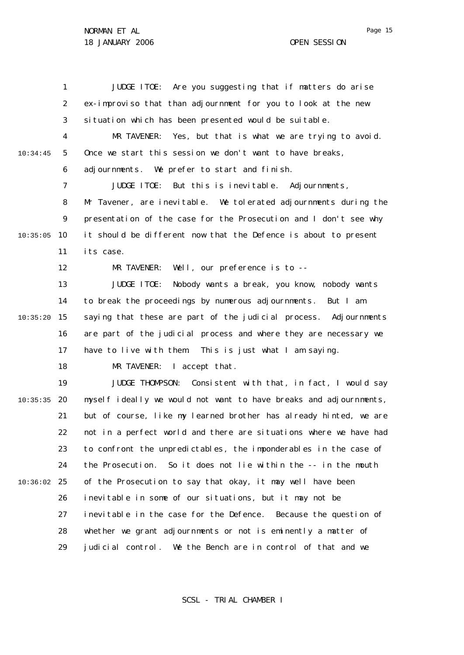1 2 3 4 5 6 7 8  $\mathsf{Q}$ 10 10:35:05 11 12 13 14 15 10:35:20 16 17 18 19 20 10:35:35 21 22 23 24 25 10:36:02 26 27 28 29 10:34:45 JUDGE ITOE: Are you suggesting that if matters do arise *ex-improviso* that than adjournment for you to look at the new situation which has been presented would be suitable. MR TAVENER: Yes, but that is what we are trying to avoid. Once we start this session we don't want to have breaks, adjournments. We prefer to start and finish. JUDGE ITOE: But this is inevitable. Adjournments, Mr Tavener, are inevitable. We tolerated adjournments during the presentation of the case for the Prosecution and I don't see why it should be different now that the Defence is about to present its case. MR TAVENER: Well, our preference is to -- JUDGE ITOE: Nobody wants a break, you know, nobody wants to break the proceedings by numerous adjournments. But I am saying that these are part of the judicial process. Adjournments are part of the judicial process and where they are necessary we have to live with them. This is just what I am saying. MR TAVENER: I accept that. JUDGE THOMPSON: Consistent with that, in fact, I would say myself ideally we would not want to have breaks and adjournments, but of course, like my learned brother has already hinted, we are not in a perfect world and there are situations where we have had to confront the unpredictables, the imponderables in the case of the Prosecution. So it does not lie within the -- in the mouth of the Prosecution to say that okay, it may well have been inevitable in some of our situations, but it may not be inevitable in the case for the Defence. Because the question of whether we grant adjournments or not is eminently a matter of judicial control. We the Bench are in control of that and we

SCSL - TRIAL CHAMBER I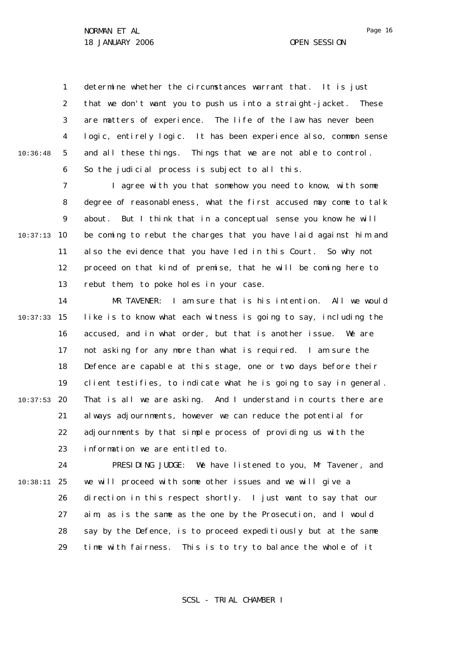1 2 3 4 5 6 10:36:48 determine whether the circumstances warrant that. It is just that we don't want you to push us into a straight-jacket. These are matters of experience. The life of the law has never been logic, entirely logic. It has been experience also, common sense and all these things. Things that we are not able to control. So the judicial process is subject to all this.

7 8  $\mathsf{Q}$ 10 10:37:13 11 12 13 I agree with you that somehow you need to know, with some degree of reasonableness, what the first accused may come to talk about. But I think that in a conceptual sense you know he will be coming to rebut the charges that you have laid against him and also the evidence that you have led in this Court. So why not proceed on that kind of premise, that he will be coming here to rebut them, to poke holes in your case.

14 15 10:37:33 16 17 18 19 20 10:37:53 21 22 23 MR TAVENER: I am sure that is his intention. All we would like is to know what each witness is going to say, including the accused, and in what order, but that is another issue. We are not asking for any more than what is required. I am sure the Defence are capable at this stage, one or two days before their client testifies, to indicate what he is going to say in general. That is all we are asking. And I understand in courts there are always adjournments, however we can reduce the potential for adjournments by that simple process of providing us with the information we are entitled to.

24 25 10:38:11 26 27 28 29 PRESIDING JUDGE: We have listened to you, Mr Tavener, and we will proceed with some other issues and we will give a direction in this respect shortly. I just want to say that our aim, as is the same as the one by the Prosecution, and I would say by the Defence, is to proceed expeditiously but at the same time with fairness. This is to try to balance the whole of it

SCSL - TRIAL CHAMBER I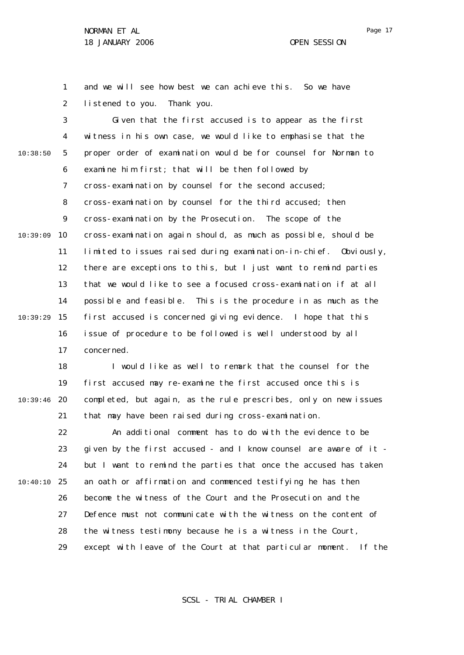Page 17

1 2 and we will see how best we can achieve this. So we have listened to you. Thank you.

3 4 5 6 7 8  $\mathsf{Q}$ 10 10:39:09 11 12 13 14 15 10:39:29 16 17 10:38:50 Given that the first accused is to appear as the first witness in his own case, we would like to emphasise that the proper order of examination would be for counsel for Norman to examine him first; that will be then followed by cross-examination by counsel for the second accused; cross-examination by counsel for the third accused; then cross-examination by the Prosecution. The scope of the cross-examination again should, as much as possible, should be limited to issues raised during examination-in-chief. Obviously, there are exceptions to this, but I just want to remind parties that we would like to see a focused cross-examination if at all possible and feasible. This is the procedure in as much as the first accused is concerned giving evidence. I hope that this issue of procedure to be followed is well understood by all concerned.

18 19 20 10:39:46 21 I would like as well to remark that the counsel for the first accused may re-examine the first accused once this is completed, but again, as the rule prescribes, only on new issues that may have been raised during cross-examination.

22 23 24 25 10:40:10 26 27 28 29 An additional comment has to do with the evidence to be given by the first accused - and I know counsel are aware of it but I want to remind the parties that once the accused has taken an oath or affirmation and commenced testifying he has then become the witness of the Court and the Prosecution and the Defence must not communicate with the witness on the content of the witness testimony because he is a witness in the Court, except with leave of the Court at that particular moment. If the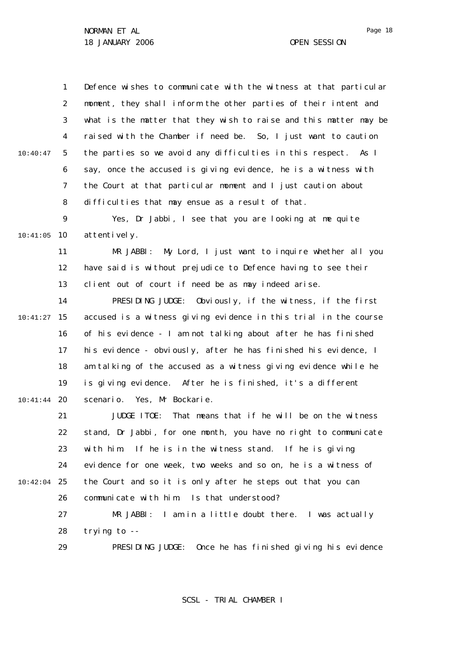1 2 3 4 5 6 7 8  $\mathsf{Q}$ 10 10:41:05 11 12 13 14 15 10:41:27 16 17 18 19 20 10:41:44 21 22 23 24 25 10:42:04 26 27 28 29 10:40:47 Defence wishes to communicate with the witness at that particular moment, they shall inform the other parties of their intent and what is the matter that they wish to raise and this matter may be raised with the Chamber if need be. So, I just want to caution the parties so we avoid any difficulties in this respect. As I say, once the accused is giving evidence, he is a witness with the Court at that particular moment and I just caution about difficulties that may ensue as a result of that. Yes, Dr Jabbi, I see that you are looking at me quite attentively. MR JABBI: My Lord, I just want to inquire whether all you have said is without prejudice to Defence having to see their client out of court if need be as may indeed arise. PRESIDING JUDGE: Obviously, if the witness, if the first accused is a witness giving evidence in this trial in the course of his evidence - I am not talking about after he has finished his evidence - obviously, after he has finished his evidence, I am talking of the accused as a witness giving evidence while he is giving evidence. After he is finished, it's a different scenario. Yes, Mr Bockarie. JUDGE ITOE: That means that if he will be on the witness stand, Dr Jabbi, for one month, you have no right to communicate with him. If he is in the witness stand. If he is giving evidence for one week, two weeks and so on, he is a witness of the Court and so it is only after he steps out that you can communicate with him. Is that understood? MR JABBI: I am in a little doubt there. I was actually trying to -- PRESIDING JUDGE: Once he has finished giving his evidence

SCSL - TRIAL CHAMBER I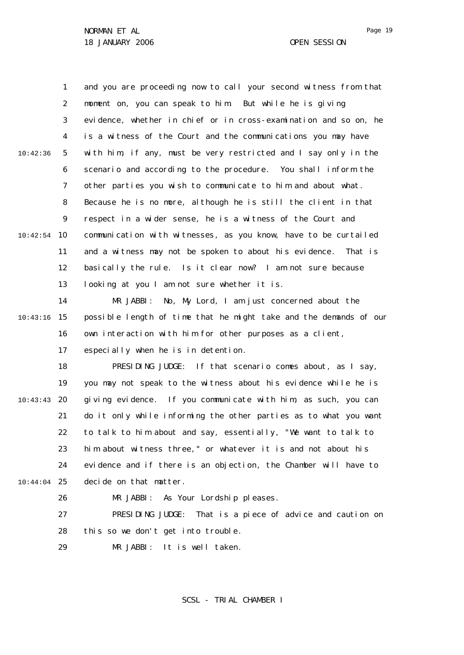|          | 1              | and you are proceeding now to call your second witness from that  |
|----------|----------------|-------------------------------------------------------------------|
|          | $\overline{2}$ | moment on, you can speak to him. But while he is giving           |
|          | 3              | evidence, whether in chief or in cross-examination and so on, he  |
|          | 4              | is a witness of the Court and the communications you may have     |
| 10:42:36 | 5              | with him, if any, must be very restricted and I say only in the   |
|          | 6              | scenario and according to the procedure. You shall inform the     |
|          | $\overline{7}$ | other parties you wish to communicate to him and about what.      |
|          | 8              | Because he is no more, although he is still the client in that    |
|          | 9              | respect in a wider sense, he is a witness of the Court and        |
| 10:42:54 | 10             | communication with witnesses, as you know, have to be curtailed   |
|          | 11             | and a witness may not be spoken to about his evidence. That is    |
|          | 12             | basically the rule. Is it clear now? I am not sure because        |
|          | 13             | looking at you I am not sure whether it is.                       |
|          | 14             | MR JABBI: No, My Lord, I am just concerned about the              |
| 10:43:16 | 15             | possible length of time that he might take and the demands of our |
|          | 16             | own interaction with him for other purposes as a client,          |
|          | 17             | especially when he is in detention.                               |
|          | 18             | PRESIDING JUDGE: If that scenario comes about, as I say,          |
|          | 19             | you may not speak to the witness about his evidence while he is   |
| 10:43:43 | 20             | giving evidence. If you communicate with him, as such, you can    |
|          | 21             | do it only while informing the other parties as to what you want  |
|          | 22             | to talk to him about and say, essentially, "We want to talk to    |
|          | 23             | him about witness three," or whatever it is and not about his     |
|          | 24             | evidence and if there is an objection, the Chamber will have to   |
| 10:44:04 | 25             | decide on that matter.                                            |
|          | 26             | MR JABBI:<br>As Your Lordship pleases.                            |
|          | 27             | PRESIDING JUDGE:<br>That is a piece of advice and caution on      |
|          | 28             | this so we don't get into trouble.                                |
|          | 29             | MR JABBI:<br>It is well taken.                                    |

SCSL - TRIAL CHAMBER I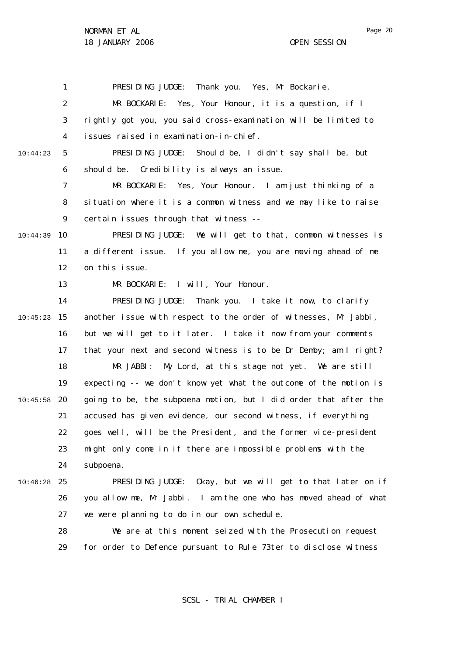Page 20

1 2 3 4 5 6 7 8  $\mathsf{Q}$ 10 10:44:39 11 12 13 14 15 10:45:23 16 17 18 19 20 10:45:58 21 22 23 24 25 10:46:28 26 27 28 29 10:44:23 PRESIDING JUDGE: Thank you. Yes, Mr Bockarie. MR BOCKARIE: Yes, Your Honour, it is a question, if I rightly got you, you said cross-examination will be limited to issues raised in examination-in-chief. PRESIDING JUDGE: Should be, I didn't say shall be, but should be. Credibility is always an issue. MR BOCKARIE: Yes, Your Honour. I am just thinking of a situation where it is a common witness and we may like to raise certain issues through that witness -- PRESIDING JUDGE: We will get to that, common witnesses is a different issue. If you allow me, you are moving ahead of me on this issue. MR BOCKARIE: I will, Your Honour. PRESIDING JUDGE: Thank you. I take it now, to clarify another issue with respect to the order of witnesses, Mr Jabbi, but we will get to it later. I take it now from your comments that your next and second witness is to be Dr Demby; am I right? MR JABBI: My Lord, at this stage not yet. We are still expecting -- we don't know yet what the outcome of the motion is going to be, the subpoena motion, but I did order that after the accused has given evidence, our second witness, if everything goes well, will be the President, and the former vice-president might only come in if there are impossible problems with the subpoena. PRESIDING JUDGE: Okay, but we will get to that later on if you allow me, Mr Jabbi. I am the one who has moved ahead of what we were planning to do in our own schedule. We are at this moment seized with the Prosecution request for order to Defence pursuant to Rule 73*ter* to disclose witness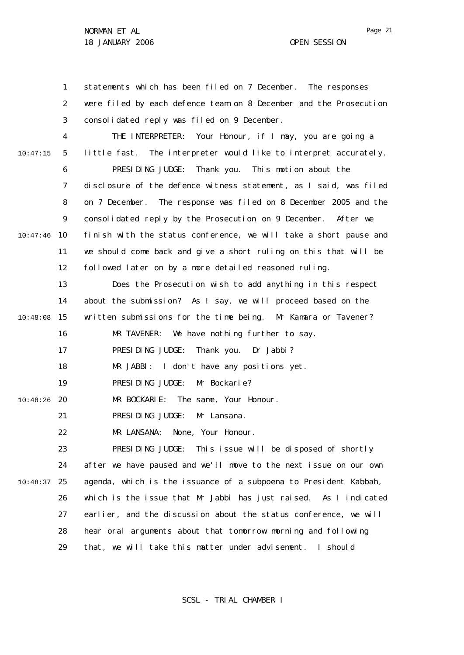1 2 3 4 5 6 7 8  $\mathsf{Q}$ 10 10:47:46 11 12 13 14 15 10:48:08 16 17 18 19 20 10:48:26 21 22 23 24 25 10:48:37 26 27 28 29 10:47:15 statements which has been filed on 7 December. The responses were filed by each defence team on 8 December and the Prosecution consolidated reply was filed on 9 December. THE INTERPRETER: Your Honour, if I may, you are going a little fast. The interpreter would like to interpret accurately. PRESIDING JUDGE: Thank you. This motion about the disclosure of the defence witness statement, as I said, was filed on 7 December. The response was filed on 8 December 2005 and the consolidated reply by the Prosecution on 9 December. After we finish with the status conference, we will take a short pause and we should come back and give a short ruling on this that will be followed later on by a more detailed reasoned ruling. Does the Prosecution wish to add anything in this respect about the submission? As I say, we will proceed based on the written submissions for the time being. Mr Kamara or Tavener? MR TAVENER: We have nothing further to say. PRESIDING JUDGE: Thank you. Dr Jabbi? MR JABBI: I don't have any positions yet. PRESIDING JUDGE: Mr Bockarie? MR BOCKARIE: The same, Your Honour. PRESIDING JUDGE: Mr Lansana. MR LANSANA: None, Your Honour. PRESIDING JUDGE: This issue will be disposed of shortly after we have paused and we'll move to the next issue on our own agenda, which is the issuance of a subpoena to President Kabbah, which is the issue that Mr Jabbi has just raised. As I indicated earlier, and the discussion about the status conference, we will hear oral arguments about that tomorrow morning and following that, we will take this matter under advisement. I should

SCSL - TRIAL CHAMBER I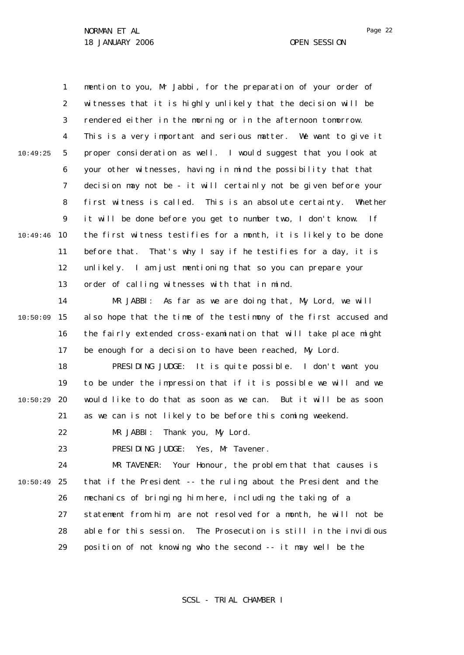1 2 3 4 5 6 7 8  $\mathsf{Q}$ 10 10:49:46 11 12 13 10:49:25 mention to you, Mr Jabbi, for the preparation of your order of witnesses that it is highly unlikely that the decision will be rendered either in the morning or in the afternoon tomorrow. This is a very important and serious matter. We want to give it proper consideration as well. I would suggest that you look at your other witnesses, having in mind the possibility that that decision may not be - it will certainly not be given before your first witness is called. This is an absolute certainty. Whether it will be done before you get to number two, I don't know. If the first witness testifies for a month, it is likely to be done before that. That's why I say if he testifies for a day, it is unlikely. I am just mentioning that so you can prepare your order of calling witnesses with that in mind.

14 15 10:50:09 16 17 MR JABBI: As far as we are doing that, My Lord, we will also hope that the time of the testimony of the first accused and the fairly extended cross-examination that will take place might be enough for a decision to have been reached, My Lord.

18 19 20 21 10:50:29 PRESIDING JUDGE: It is quite possible. I don't want you to be under the impression that if it is possible we will and we would like to do that as soon as we can. But it will be as soon as we can is not likely to be before this coming weekend.

> 22 MR JABBI: Thank you, My Lord.

23 PRESIDING JUDGE: Yes, Mr Tavener.

24 25 10:50:49 26 27 28 29 MR TAVENER: Your Honour, the problem that that causes is that if the President -- the ruling about the President and the mechanics of bringing him here, including the taking of a statement from him, are not resolved for a month, he will not be able for this session. The Prosecution is still in the invidious position of not knowing who the second -- it may well be the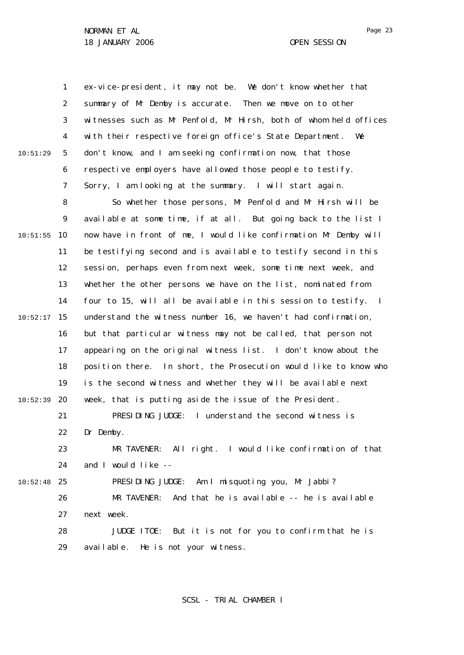1 2 3 4 5 6 7 8  $\mathsf{Q}$ 10 10:51:55 11 12 13 14 15 10:52:17 16 17 18 19 20 10:52:39 21 22 23 24 25 10:52:48 26 27 28 29 10:51:29 ex-vice-president, it may not be. We don't know whether that summary of Mr Demby is accurate. Then we move on to other witnesses such as Mr Penfold, Mr Hirsh, both of whom held offices with their respective foreign office's State Department. We don't know, and I am seeking confirmation now, that those respective employers have allowed those people to testify. Sorry, I am looking at the summary. I will start again. So whether those persons, Mr Penfold and Mr Hirsh will be available at some time, if at all. But going back to the list I now have in front of me, I would like confirmation Mr Demby will be testifying second and is available to testify second in this session, perhaps even from next week, some time next week, and whether the other persons we have on the list, nominated from four to 15, will all be available in this session to testify. I understand the witness number 16, we haven't had confirmation, but that particular witness may not be called, that person not appearing on the original witness list. I don't know about the position there. In short, the Prosecution would like to know who is the second witness and whether they will be available next week, that is putting aside the issue of the President. PRESIDING JUDGE: I understand the second witness is Dr Demby. MR TAVENER: All right. I would like confirmation of that and I would like -- PRESIDING JUDGE: Am I misquoting you, Mr Jabbi? MR TAVENER: And that he is available -- he is available next week. JUDGE ITOE: But it is not for you to confirm that he is available. He is not your witness.

SCSL - TRIAL CHAMBER I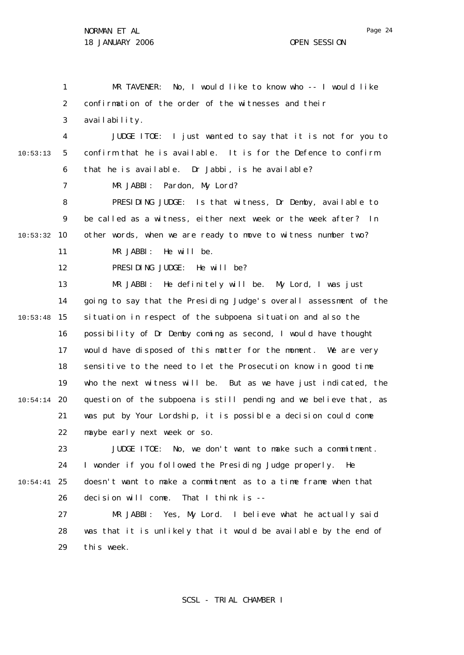1 2 3 4 5 6 7 8  $\mathsf{Q}$ 10 10:53:32 11 12 13 14 15 10:53:48 16 17 18 19 20 10:54:14 21 22 23 24 25 10:54:41 26 27 28 29 10:53:13 MR TAVENER: No, I would like to know who -- I would like confirmation of the order of the witnesses and their availability. JUDGE ITOE: I just wanted to say that it is not for you to confirm that he is available. It is for the Defence to confirm that he is available. Dr Jabbi, is he available? MR JABBI: Pardon, My Lord? PRESIDING JUDGE: Is that witness, Dr Demby, available to be called as a witness, either next week or the week after? In other words, when we are ready to move to witness number two? MR JABBI: He will be. PRESIDING JUDGE: He will be? MR JABBI: He definitely will be. My Lord, I was just going to say that the Presiding Judge's overall assessment of the situation in respect of the subpoena situation and also the possibility of Dr Demby coming as second, I would have thought would have disposed of this matter for the moment. We are very sensitive to the need to let the Prosecution know in good time who the next witness will be. But as we have just indicated, the question of the subpoena is still pending and we believe that, as was put by Your Lordship, it is possible a decision could come maybe early next week or so. JUDGE ITOE: No, we don't want to make such a commitment. I wonder if you followed the Presiding Judge properly. He doesn't want to make a commitment as to a time frame when that decision will come. That I think is -- MR JABBI: Yes, My Lord. I believe what he actually said was that it is unlikely that it would be available by the end of this week.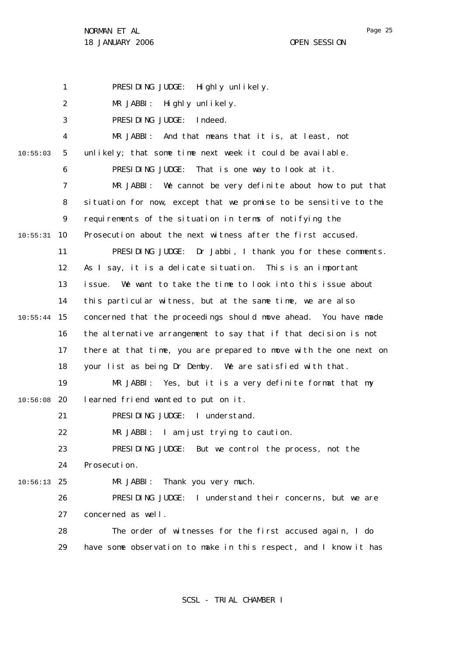Page 25

1 2 3 4 5 6 7 8  $\mathsf{Q}$ 10 10:55:31 11 12 13 14 15 10:55:44 16 17 18 19 20 10:56:08 21 22 23  $24$ 25 10:56:13 26 27 28 29 10:55:03 PRESIDING JUDGE: Highly unlikely. MR JABBI: Highly unlikely. PRESIDING JUDGE: Indeed. MR JABBI: And that means that it is, at least, not unlikely; that some time next week it could be available. PRESIDING JUDGE: That is one way to look at it. MR JABBI: We cannot be very definite about how to put that situation for now, except that we promise to be sensitive to the requirements of the situation in terms of notifying the Prosecution about the next witness after the first accused. PRESIDING JUDGE: Dr Jabbi, I thank you for these comments. As I say, it is a delicate situation. This is an important issue. We want to take the time to look into this issue about this particular witness, but at the same time, we are also concerned that the proceedings should move ahead. You have made the alternative arrangement to say that if that decision is not there at that time, you are prepared to move with the one next on your list as being Dr Demby. We are satisfied with that. MR JABBI: Yes, but it is a very definite format that my learned friend wanted to put on it. PRESIDING JUDGE: I understand. MR JABBI: I am just trying to caution. PRESIDING JUDGE: But we control the process, not the Prosecution. MR JABBI: Thank you very much. PRESIDING JUDGE: I understand their concerns, but we are concerned as well. The order of witnesses for the first accused again, I do have some observation to make in this respect, and I know it has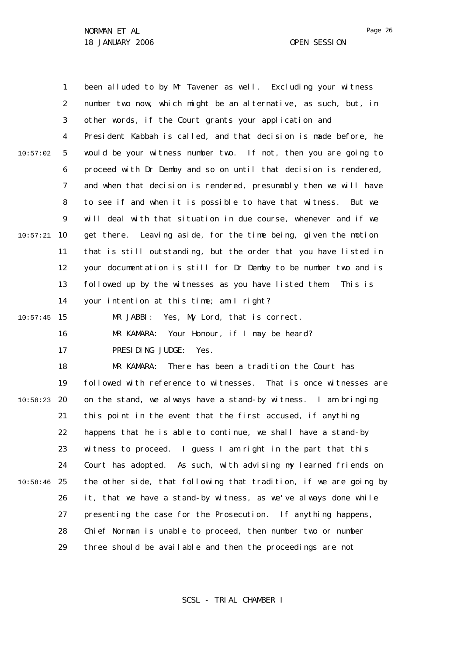|          | 1  | been alluded to by Mr Tavener as well. Excluding your witness     |
|----------|----|-------------------------------------------------------------------|
|          | 2  | number two now, which might be an alternative, as such, but, in   |
|          | 3  | other words, if the Court grants your application and             |
|          | 4  | President Kabbah is called, and that decision is made before, he  |
| 10:57:02 | 5  | would be your witness number two. If not, then you are going to   |
|          | 6  | proceed with Dr Demby and so on until that decision is rendered,  |
|          | 7  | and when that decision is rendered, presumably then we will have  |
|          | 8  | to see if and when it is possible to have that witness. But we    |
|          | 9  | will deal with that situation in due course, whenever and if we   |
| 10:57:21 | 10 | get there. Leaving aside, for the time being, given the motion    |
|          | 11 | that is still outstanding, but the order that you have listed in  |
|          | 12 | your documentation is still for Dr Demby to be number two and is  |
|          | 13 | followed up by the witnesses as you have listed them.<br>Thisis   |
|          | 14 | your intention at this time; am I right?                          |
| 10:57:45 | 15 | MR JABBI: Yes, My Lord, that is correct.                          |
|          | 16 | MR KAMARA: Your Honour, if I may be heard?                        |
|          | 17 | PRESIDING JUDGE:<br>Yes.                                          |
|          | 18 | MR KAMARA:<br>There has been a tradition the Court has            |
|          | 19 | followed with reference to witnesses. That is once witnesses are  |
| 10:58:23 | 20 | on the stand, we always have a stand-by witness. I am bringing    |
|          | 21 | this point in the event that the first accused, if anything       |
|          | 22 | happens that he is able to continue, we shall have a stand-by     |
|          | 23 | witness to proceed. I guess I am right in the part that this      |
|          | 24 | Court has adopted. As such, with advising my learned friends on   |
| 10:58:46 | 25 | the other side, that following that tradition, if we are going by |
|          | 26 | it, that we have a stand-by witness, as we've always done while   |
|          | 27 | presenting the case for the Prosecution. If anything happens,     |
|          | 28 | Chief Norman is unable to proceed, then number two or number      |
|          | 29 | three should be available and then the proceedings are not        |

SCSL - TRIAL CHAMBER I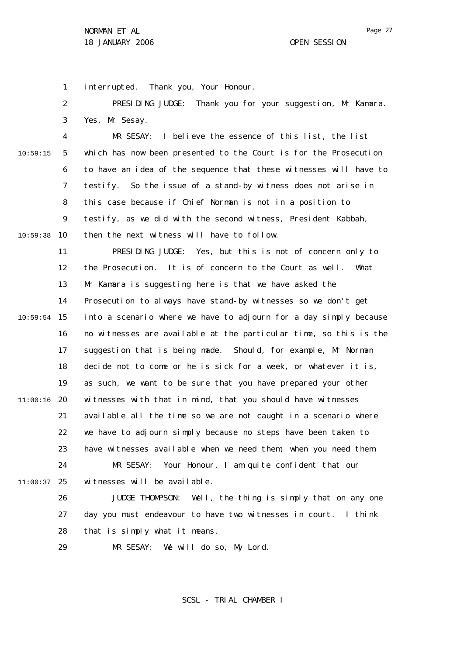1 interrupted. Thank you, Your Honour.

2 3 PRESIDING JUDGE: Thank you for your suggestion, Mr Kamara. Yes, Mr Sesay.

4 5 6 7 8  $\mathsf{Q}$ 10 10:59:38 10:59:15 MR SESAY: I believe the essence of this list, the list which has now been presented to the Court is for the Prosecution to have an idea of the sequence that these witnesses will have to testify. So the issue of a stand-by witness does not arise in this case because if Chief Norman is not in a position to testify, as we did with the second witness, President Kabbah, then the next witness will have to follow.

11 12 13 14 15 10:59:54 16 17 18 19 20 11:00:16 21 22 23 24 25 11:00:37 PRESIDING JUDGE: Yes, but this is not of concern only to the Prosecution. It is of concern to the Court as well. What Mr Kamara is suggesting here is that we have asked the Prosecution to always have stand-by witnesses so we don't get into a scenario where we have to adjourn for a day simply because no witnesses are available at the particular time, so this is the suggestion that is being made. Should, for example, Mr Norman decide not to come or he is sick for a week, or whatever it is, as such, we want to be sure that you have prepared your other witnesses with that in mind, that you should have witnesses available all the time so we are not caught in a scenario where we have to adjourn simply because no steps have been taken to have witnesses available when we need them, when you need them. MR SESAY: Your Honour, I am quite confident that our witnesses will be available.

26 27 28 JUDGE THOMPSON: Well, the thing is simply that on any one day you must endeavour to have two witnesses in court. I think that is simply what it means.

29 MR SESAY: We will do so, My Lord.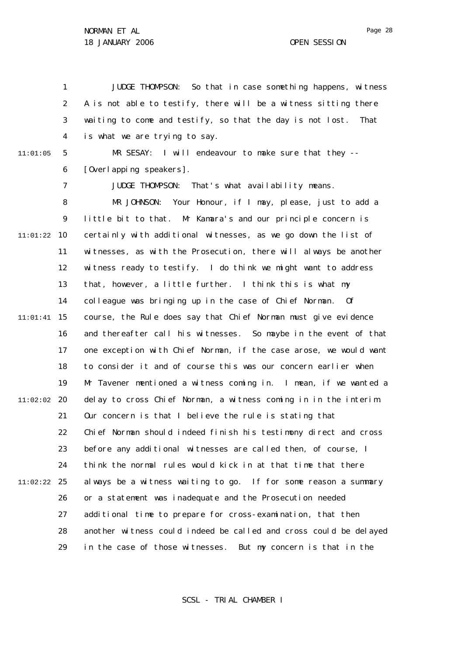1 2 3 4 JUDGE THOMPSON: So that in case something happens, witness A is not able to testify, there will be a witness sitting there waiting to come and testify, so that the day is not lost. That is what we are trying to say.

11:01:05

7

5 6 MR SESAY: I will endeavour to make sure that they --[Overlapping speakers].

JUDGE THOMPSON: That's what availability means.

8  $\mathsf{Q}$ 10 11:01:22 11 12 13 14 15 11:01:41 16 17 18 19 20 11:02:02 21 22 23 24 25 11:02:22 26 27 28 29 MR JOHNSON: Your Honour, if I may, please, just to add a little bit to that. Mr Kamara's and our principle concern is certainly with additional witnesses, as we go down the list of witnesses, as with the Prosecution, there will always be another witness ready to testify. I do think we might want to address that, however, a little further. I think this is what my colleague was bringing up in the case of Chief Norman. Of course, the Rule does say that Chief Norman must give evidence and thereafter call his witnesses. So maybe in the event of that one exception with Chief Norman, if the case arose, we would want to consider it and of course this was our concern earlier when Mr Tavener mentioned a witness coming in. I mean, if we wanted a delay to cross Chief Norman, a witness coming in in the interim. Our concern is that I believe the rule is stating that Chief Norman should indeed finish his testimony direct and cross before any additional witnesses are called then, of course, I think the normal rules would kick in at that time that there always be a witness waiting to go. If for some reason a summary or a statement was inadequate and the Prosecution needed additional time to prepare for cross-examination, that then another witness could indeed be called and cross could be delayed in the case of those witnesses. But my concern is that in the

SCSL - TRIAL CHAMBER I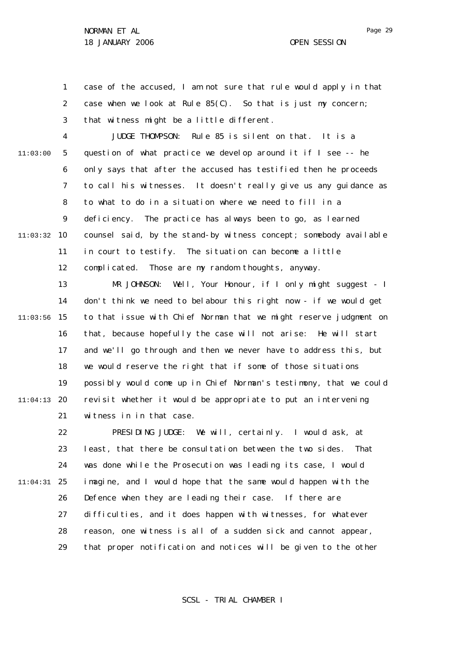1 2 3 case of the accused, I am not sure that rule would apply in that case when we look at Rule 85(C). So that is just my concern; that witness might be a little different.

4 5 6 7 8  $\mathsf{Q}$ 10 11:03:32 11 12 13 14 15 11:03:56 16 11:03:00 JUDGE THOMPSON: Rule 85 is silent on that. It is a question of what practice we develop around it if I see -- he only says that after the accused has testified then he proceeds to call his witnesses. It doesn't really give us any guidance as to what to do in a situation where we need to fill in a deficiency. The practice has always been to go, as learned counsel said, by the stand-by witness concept; somebody available in court to testify. The situation can become a little complicated. Those are my random thoughts, anyway. MR JOHNSON: Well, Your Honour, if I only might suggest - I don't think we need to belabour this right now - if we would get to that issue with Chief Norman that we might reserve judgment on that, because hopefully the case will not arise: He will start

17 18 19 20 11:04:13 21 and we'll go through and then we never have to address this, but we would reserve the right that if some of those situations possibly would come up in Chief Norman's testimony, that we could revisit whether it would be appropriate to put an intervening witness in in that case.

22 23 24 25 11:04:31 26 27 28 29 PRESIDING JUDGE: We will, certainly. I would ask, at least, that there be consultation between the two sides. That was done while the Prosecution was leading its case, I would imagine, and I would hope that the same would happen with the Defence when they are leading their case. If there are difficulties, and it does happen with witnesses, for whatever reason, one witness is all of a sudden sick and cannot appear, that proper notification and notices will be given to the other

SCSL - TRIAL CHAMBER I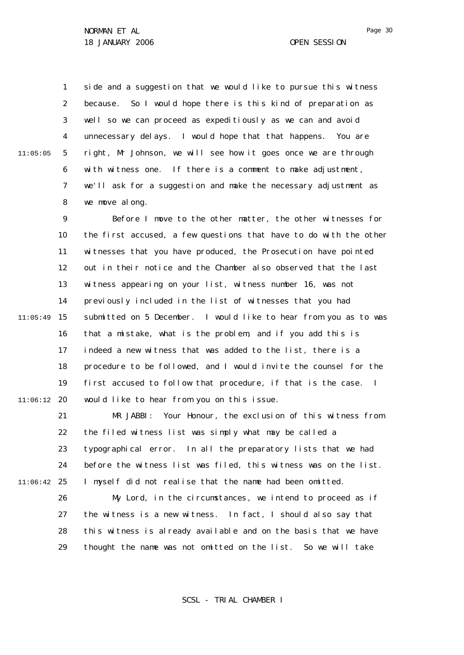1 2 3 4 5 6 7 8 11:05:05 side and a suggestion that we would like to pursue this witness because. So I would hope there is this kind of preparation as well so we can proceed as expeditiously as we can and avoid unnecessary delays. I would hope that that happens. You are right, Mr Johnson, we will see how it goes once we are through with witness one. If there is a comment to make adjustment, we'll ask for a suggestion and make the necessary adjustment as we move along.

9 10 11 12 13 14 15 11:05:49 16 17 18 19 20 11:06:12 Before I move to the other matter, the other witnesses for the first accused, a few questions that have to do with the other witnesses that you have produced, the Prosecution have pointed out in their notice and the Chamber also observed that the last witness appearing on your list, witness number 16, was not previously included in the list of witnesses that you had submitted on 5 December. I would like to hear from you as to was that a mistake, what is the problem, and if you add this is indeed a new witness that was added to the list, there is a procedure to be followed, and I would invite the counsel for the first accused to follow that procedure, if that is the case. I would like to hear from you on this issue.

21 22 23  $24$ 25 11:06:42 MR JABBI: Your Honour, the exclusion of this witness from the filed witness list was simply what may be called a typographical error. In all the preparatory lists that we had before the witness list was filed, this witness was on the list. I myself did not realise that the name had been omitted.

> 26 27 28 29 My Lord, in the circumstances, we intend to proceed as if the witness is a new witness. In fact, I should also say that this witness is already available and on the basis that we have thought the name was not omitted on the list. So we will take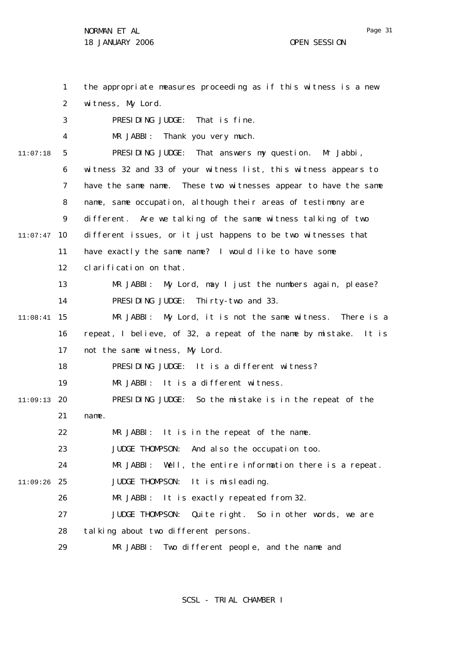1 2 3 4 5 6 7 8  $\mathsf{Q}$ 10 11:07:47 11 12 13 14 15 11:08:41 16 17 18 19 20 11:09:13 21 22 23 24 25 11:09:26 26 27 28 29 11:07:18 the appropriate measures proceeding as if this witness is a new witness, My Lord. PRESIDING JUDGE: That is fine. MR JABBI: Thank you very much. PRESIDING JUDGE: That answers my question. Mr Jabbi, witness 32 and 33 of your witness list, this witness appears to have the same name. These two witnesses appear to have the same name, same occupation, although their areas of testimony are different. Are we talking of the same witness talking of two different issues, or it just happens to be two witnesses that have exactly the same name? I would like to have some clarification on that. MR JABBI: My Lord, may I just the numbers again, please? PRESIDING JUDGE: Thirty-two and 33. MR JABBI: My Lord, it is not the same witness. There is a repeat, I believe, of 32, a repeat of the name by mistake. It is not the same witness, My Lord. PRESIDING JUDGE: It is a different witness? MR JABBI: It is a different witness. PRESIDING JUDGE: So the mistake is in the repeat of the name. MR JABBI: It is in the repeat of the name. JUDGE THOMPSON: And also the occupation too. MR JABBI: Well, the entire information there is a repeat. JUDGE THOMPSON: It is misleading. MR JABBI: It is exactly repeated from 32. JUDGE THOMPSON: Quite right. So in other words, we are talking about two different persons. MR JABBI: Two different people, and the name and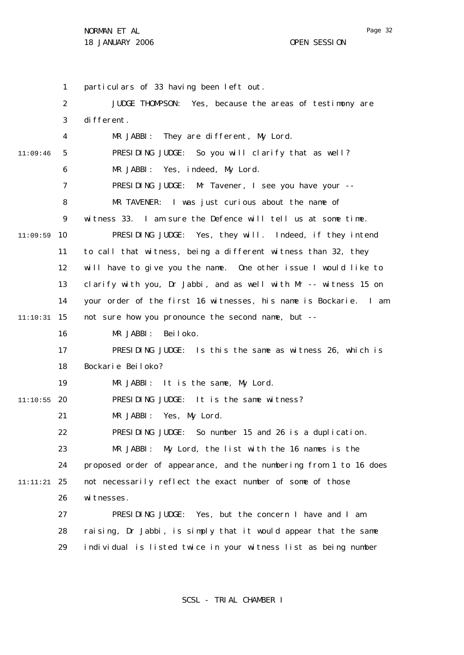1 2 3 4 5 6 7 8  $\mathsf{Q}$ 10 11:09:59 11 12 13 14 15 11:10:31 16 17 18 19 20 11:10:55 21 22 23 24 25 11:11:21 26 27 28 29 11:09:46 particulars of 33 having been left out. JUDGE THOMPSON: Yes, because the areas of testimony are different. MR JABBI: They are different, My Lord. PRESIDING JUDGE: So you will clarify that as well? MR JABBI: Yes, indeed, My Lord. PRESIDING JUDGE: Mr Tavener, I see you have your -- MR TAVENER: I was just curious about the name of witness 33. I am sure the Defence will tell us at some time. PRESIDING JUDGE: Yes, they will. Indeed, if they intend to call that witness, being a different witness than 32, they will have to give you the name. One other issue I would like to clarify with you, Dr Jabbi, and as well with Mr -- witness 15 on your order of the first 16 witnesses, his name is Bockarie. I am not sure how you pronounce the second name, but -- MR JABBI: Beiloko. PRESIDING JUDGE: Is this the same as witness 26, which is Bockarie Beiloko? MR JABBI: It is the same, My Lord. PRESIDING JUDGE: It is the same witness? MR JABBI: Yes, My Lord. PRESIDING JUDGE: So number 15 and 26 is a duplication. MR JABBI: My Lord, the list with the 16 names is the proposed order of appearance, and the numbering from 1 to 16 does not necessarily reflect the exact number of some of those wi tnesses. PRESIDING JUDGE: Yes, but the concern I have and I am raising, Dr Jabbi, is simply that it would appear that the same individual is listed twice in your witness list as being number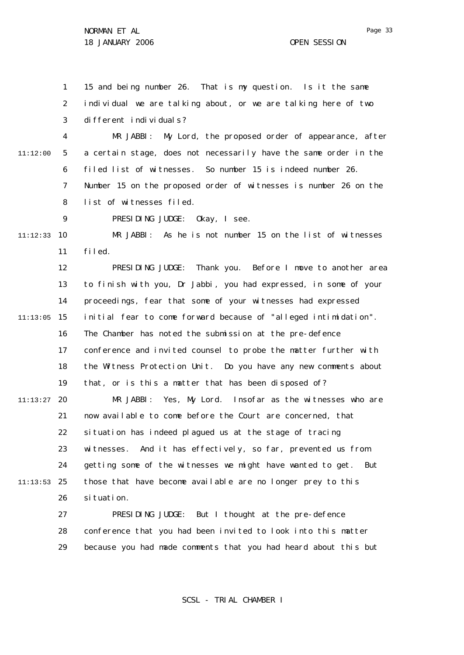$\mathsf{Q}$ 

1 2 3 15 and being number 26. That is my question. Is it the same individual we are talking about, or we are talking here of two different individuals?

4 5 6 7 8 11:12:00 MR JABBI: My Lord, the proposed order of appearance, after a certain stage, does not necessarily have the same order in the filed list of witnesses. So number 15 is indeed number 26. Number 15 on the proposed order of witnesses is number 26 on the list of witnesses filed.

PRESIDING JUDGE: Okay, I see.

10 11:12:33 11 MR JABBI: As he is not number 15 on the list of witnesses filed.

12 13 14 15 11:13:05 16 17 18 19 20 11:13:27 21 22 23 24 25 11:13:53 26 PRESIDING JUDGE: Thank you. Before I move to another area to finish with you, Dr Jabbi, you had expressed, in some of your proceedings, fear that some of your witnesses had expressed initial fear to come forward because of "alleged intimidation". The Chamber has noted the submission at the pre-defence conference and invited counsel to probe the matter further with the Witness Protection Unit. Do you have any new comments about that, or is this a matter that has been disposed of? MR JABBI: Yes, My Lord. Insofar as the witnesses who are now available to come before the Court are concerned, that situation has indeed plagued us at the stage of tracing witnesses. And it has effectively, so far, prevented us from getting some of the witnesses we might have wanted to get. But those that have become available are no longer prey to this si tuation.

27 28 29 PRESIDING JUDGE: But I thought at the pre-defence conference that you had been invited to look into this matter because you had made comments that you had heard about this but

SCSL - TRIAL CHAMBER I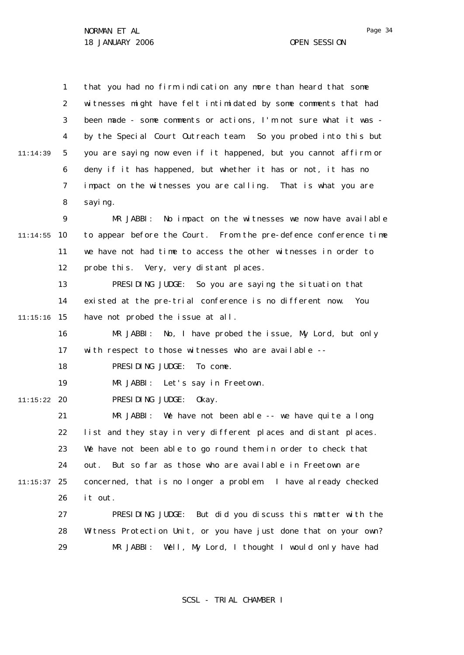1 2 3 4 5 6 7 8  $\mathsf{Q}$ 10 11:14:55 11 12 13 14 15 11:15:16 16 17 18 19 20 11:15:22 21 22 23 24 25 11:15:37 26 27 28 29 11:14:39 that you had no firm indication any more than heard that some witnesses might have felt intimidated by some comments that had been made - some comments or actions, I'm not sure what it was by the Special Court Outreach team. So you probed into this but you are saying now even if it happened, but you cannot affirm or deny if it has happened, but whether it has or not, it has no impact on the witnesses you are calling. That is what you are sayi ng. MR JABBI: No impact on the witnesses we now have available to appear before the Court. From the pre-defence conference time we have not had time to access the other witnesses in order to probe this. Very, very distant places. PRESIDING JUDGE: So you are saying the situation that existed at the pre-trial conference is no different now. You have not probed the issue at all. MR JABBI: No, I have probed the issue, My Lord, but only with respect to those witnesses who are available -- PRESIDING JUDGE: To come. MR JABBI: Let's say in Freetown. PRESIDING JUDGE: Okay. MR JABBI: We have not been able -- we have quite a long list and they stay in very different places and distant places. We have not been able to go round them in order to check that out. But so far as those who are available in Freetown are concerned, that is no longer a problem. I have already checked it out. PRESIDING JUDGE: But did you discuss this matter with the Witness Protection Unit, or you have just done that on your own? MR JABBI: Well, My Lord, I thought I would only have had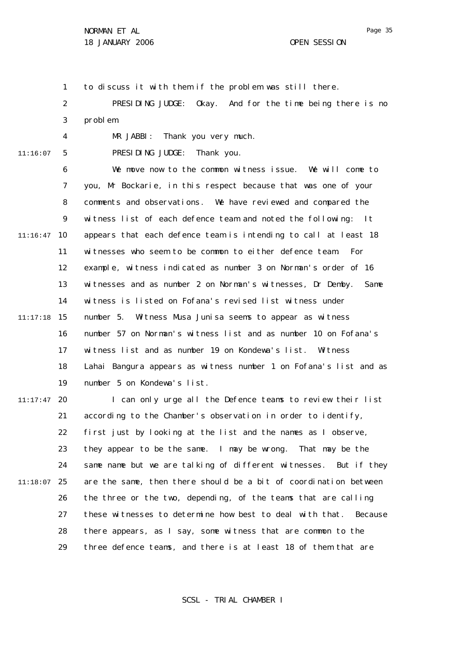1 to discuss it with them if the problem was still there.

2 3 PRESIDING JUDGE: Okay. And for the time being there is no problem.

11:16:07

4

5

PRESIDING JUDGE: Thank you.

MR JABBI: Thank you very much.

6 7 8  $\mathsf{Q}$ 10 11:16:47 11 12 13 14 15 11:17:18 16 17 18 19 We move now to the common witness issue. We will come to you, Mr Bockarie, in this respect because that was one of your comments and observations. We have reviewed and compared the witness list of each defence team and noted the following: It appears that each defence team is intending to call at least 18 witnesses who seem to be common to either defence team. For example, witness indicated as number 3 on Norman's order of 16 witnesses and as number 2 on Norman's witnesses, Dr Demby. Same witness is listed on Fofana's revised list witness under number 5. Witness Musa Junisa seems to appear as witness number 57 on Norman's witness list and as number 10 on Fofana's witness list and as number 19 on Kondewa's list. Witness Lahai Bangura appears as witness number 1 on Fofana's list and as number 5 on Kondewa's list.

20 11:17:47 21 22 23 24 25 11:18:07 26 27 28 29 I can only urge all the Defence teams to review their list according to the Chamber's observation in order to identify, first just by looking at the list and the names as I observe, they appear to be the same. I may be wrong. That may be the same name but we are talking of different witnesses. But if they are the same, then there should be a bit of coordination between the three or the two, depending, of the teams that are calling these witnesses to determine how best to deal with that. Because there appears, as I say, some witness that are common to the three defence teams, and there is at least 18 of them that are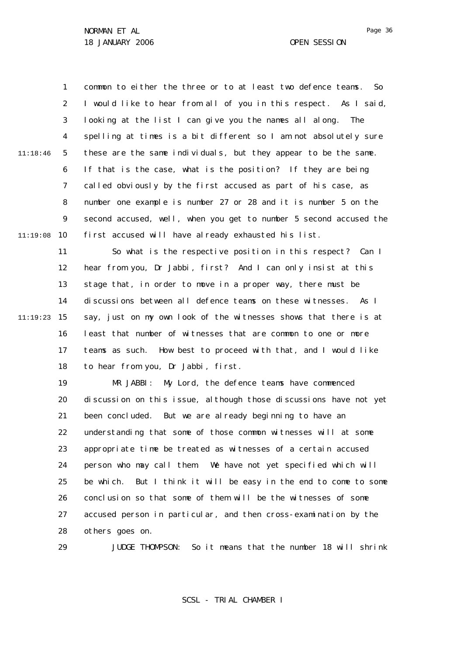29

1 2 3 4 5 6 7 8  $\mathsf{Q}$ 10 11:19:08 11:18:46 common to either the three or to at least two defence teams. So I would like to hear from all of you in this respect. As I said, looking at the list I can give you the names all along. The spelling at times is a bit different so I am not absolutely sure these are the same individuals, but they appear to be the same. If that is the case, what is the position? If they are being called obviously by the first accused as part of his case, as number one example is number 27 or 28 and it is number 5 on the second accused, well, when you get to number 5 second accused the first accused will have already exhausted his list.

11 12 13 14 15 11:19:23 16 17 18 So what is the respective position in this respect? Can I hear from you, Dr Jabbi, first? And I can only insist at this stage that, in order to move in a proper way, there must be discussions between all defence teams on these witnesses. As I say, just on my own look of the witnesses shows that there is at least that number of witnesses that are common to one or more teams as such. How best to proceed with that, and I would like to hear from you, Dr Jabbi, first.

> 19 20 21 22 23 24 25 26 27 28 MR JABBI: My Lord, the defence teams have commenced discussion on this issue, although those discussions have not yet been concluded. But we are already beginning to have an understanding that some of those common witnesses will at some appropriate time be treated as witnesses of a certain accused person who may call them. We have not yet specified which will be which. But I think it will be easy in the end to come to some conclusion so that some of them will be the witnesses of some accused person in particular, and then cross-examination by the others goes on.

JUDGE THOMPSON: So it means that the number 18 will shrink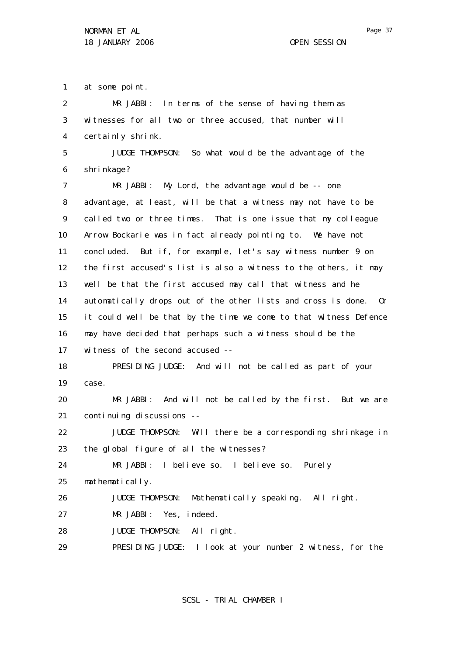1 at some point.

| $\overline{2}$ | MR JABBI: In terms of the sense of having them as                 |
|----------------|-------------------------------------------------------------------|
| 3              | witnesses for all two or three accused, that number will          |
| 4              | certainly shrink.                                                 |
| 5              | JUDGE THOMPSON: So what would be the advantage of the             |
| 6              | shri nkage?                                                       |
| 7              | $MR$ JABBI: My Lord, the advantage would be $-$ - one             |
| 8              | advantage, at least, will be that a witness may not have to be    |
| 9              | called two or three times. That is one issue that my colleague    |
| 10             | Arrow Bockarie was in fact already pointing to. We have not       |
| 11             | concluded. But if, for example, let's say witness number 9 on     |
| 12             | the first accused's list is also a witness to the others, it may  |
| 13             | well be that the first accused may call that witness and he       |
| 14             | automatically drops out of the other lists and cross is done. Or  |
| 15             | it could well be that by the time we come to that witness Defence |
| 16             | may have decided that perhaps such a witness should be the        |
| 17             | witness of the second accused --                                  |
| 18             | PRESIDING JUDGE: And will not be called as part of your           |
| 19             | case.                                                             |
| 20             | MR JABBI: And will not be called by the first. But we are         |
| 21             | continuing discussions --                                         |
| 22             | JUDGE THOMPSON: Will there be a corresponding shrinkage in        |
| 23             | the global figure of all the witnesses?                           |
| 24             | MR JABBI: I believe so. I believe so. Purely                      |
| 25             | mathematically.                                                   |
| 26             | Mathematically speaking. All right.<br>JUDGE THOMPSON:            |
| 27             | MR JABBI: Yes, indeed.                                            |
| 28             | JUDGE THOMPSON: All right.                                        |
|                |                                                                   |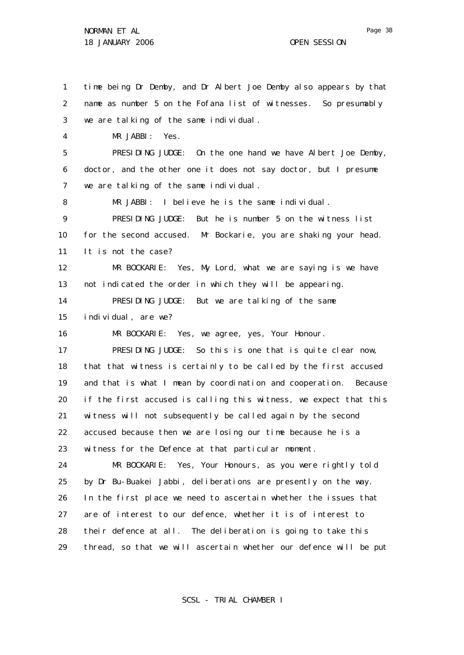29

1 2 3 4 5 6 7 8  $\mathsf{Q}$ 10 11 12 13 14 15 16 17 18 19 20 21 22 23 24 25 26 27 28 time being Dr Demby, and Dr Albert Joe Demby also appears by that name as number 5 on the Fofana list of witnesses. So presumably we are talking of the same individual. MR JABBI: Yes. PRESIDING JUDGE: On the one hand we have Albert Joe Demby, doctor, and the other one it does not say doctor, but I presume we are talking of the same individual. MR JABBI: I believe he is the same individual. PRESIDING JUDGE: But he is number 5 on the witness list for the second accused. Mr Bockarie, you are shaking your head. It is not the case? MR BOCKARIE: Yes, My Lord, what we are saying is we have not indicated the order in which they will be appearing. PRESIDING JUDGE: But we are talking of the same individual, are we? MR BOCKARIE: Yes, we agree, yes, Your Honour. PRESIDING JUDGE: So this is one that is quite clear now, that that witness is certainly to be called by the first accused and that is what I mean by coordination and cooperation. Because if the first accused is calling this witness, we expect that this witness will not subsequently be called again by the second accused because then we are losing our time because he is a witness for the Defence at that particular moment. MR BOCKARIE: Yes, Your Honours, as you were rightly told by Dr Bu-Buakei Jabbi, deliberations are presently on the way. In the first place we need to ascertain whether the issues that are of interest to our defence, whether it is of interest to their defence at all. The deliberation is going to take this

SCSL - TRIAL CHAMBER I

thread, so that we will ascertain whether our defence will be put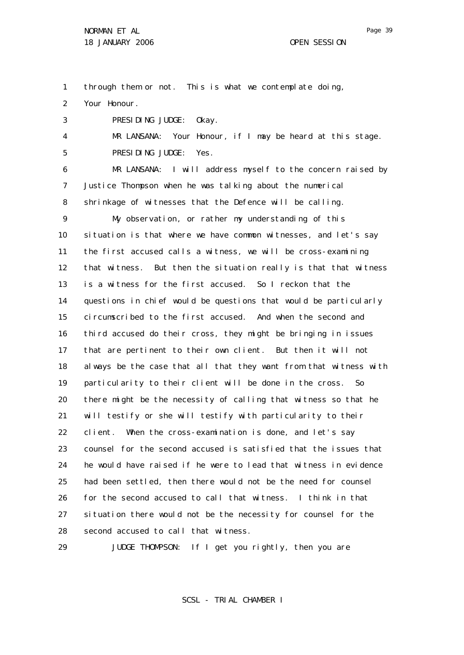1 through them or not. This is what we contemplate doing,

2 Your Honour.

3 PRESIDING JUDGE: Okay.

4 5 MR LANSANA: Your Honour, if I may be heard at this stage. PRESIDING JUDGE: Yes.

6 7 8 MR LANSANA: I will address myself to the concern raised by Justice Thompson when he was talking about the numerical shrinkage of witnesses that the Defence will be calling.

 $\mathsf{Q}$ 10 11 12 13 14 15 16 17 18 19 20 21 22 23 24 25 26 27 28 My observation, or rather my understanding of this situation is that where we have common witnesses, and let's say the first accused calls a witness, we will be cross-examining that witness. But then the situation really is that that witness is a witness for the first accused. So I reckon that the questions in chief would be questions that would be particularly circumscribed to the first accused. And when the second and third accused do their cross, they might be bringing in issues that are pertinent to their own client. But then it will not always be the case that all that they want from that witness with particularity to their client will be done in the cross. So there might be the necessity of calling that witness so that he will testify or she will testify with particularity to their client. When the cross-examination is done, and let's say counsel for the second accused is satisfied that the issues that he would have raised if he were to lead that witness in evidence had been settled, then there would not be the need for counsel for the second accused to call that witness. I think in that situation there would not be the necessity for counsel for the second accused to call that witness.

29 JUDGE THOMPSON: If I get you rightly, then you are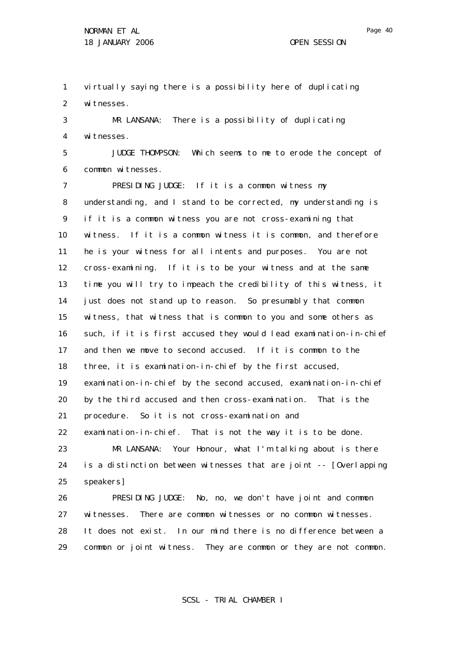1 2 virtually saying there is a possibility here of duplicating witnesses.

3 4 MR LANSANA: There is a possibility of duplicating witnesses.

5 6 JUDGE THOMPSON: Which seems to me to erode the concept of common witnesses.

7 8 9 10 11 12 13 14 15 16 17 18 19 20 21 22 23 24 25 26 27 PRESIDING JUDGE: If it is a common witness my understanding, and I stand to be corrected, my understanding is if it is a common witness you are not cross-examining that witness. If it is a common witness it is common, and therefore he is your witness for all intents and purposes. You are not cross-examining. If it is to be your witness and at the same time you will try to impeach the credibility of this witness, it just does not stand up to reason. So presumably that common witness, that witness that is common to you and some others as such, if it is first accused they would lead examination-in-chief and then we move to second accused. If it is common to the three, it is examination-in-chief by the first accused, examination-in-chief by the second accused, examination-in-chief by the third accused and then cross-examination. That is the procedure. So it is not cross-examination and examination-in-chief. That is not the way it is to be done. MR LANSANA: Your Honour, what I'm talking about is there is a distinction between witnesses that are joint -- [Overlapping speakers] PRESIDING JUDGE: No, no, we don't have joint and common witnesses. There are common witnesses or no common witnesses.

28 29 It does not exist. In our mind there is no difference between a common or joint witness. They are common or they are not common.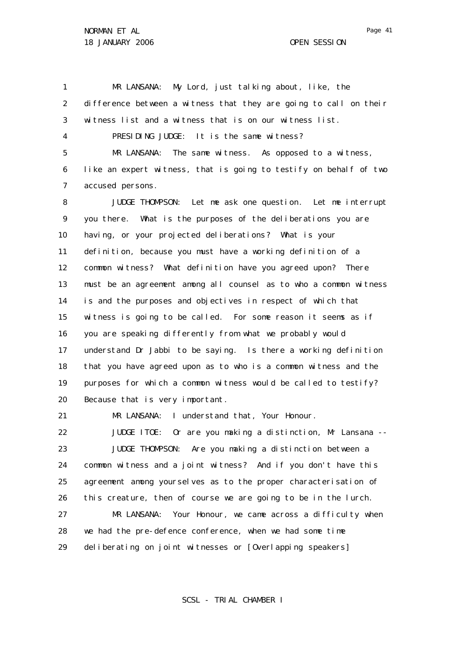29

1 2 3 4 5 6 7 8 9 10 11 12 13 14 15 16 17 18 19 20 21 22 23 24 25 26 27 28 MR LANSANA: My Lord, just talking about, like, the difference between a witness that they are going to call on their witness list and a witness that is on our witness list. PRESIDING JUDGE: It is the same witness? MR LANSANA: The same witness. As opposed to a witness, like an expert witness, that is going to testify on behalf of two accused persons. JUDGE THOMPSON: Let me ask one question. Let me interrupt you there. What is the purposes of the deliberations you are having, or your projected deliberations? What is your definition, because you must have a working definition of a common witness? What definition have you agreed upon? There must be an agreement among all counsel as to who a common witness is and the purposes and objectives in respect of which that witness is going to be called. For some reason it seems as if you are speaking differently from what we probably would understand Dr Jabbi to be saying. Is there a working definition that you have agreed upon as to who is a common witness and the purposes for which a common witness would be called to testify? Because that is very important. MR LANSANA: I understand that, Your Honour. JUDGE ITOE: Or are you making a distinction, Mr Lansana -- JUDGE THOMPSON: Are you making a distinction between a common witness and a joint witness? And if you don't have this agreement among yourselves as to the proper characterisation of this creature, then of course we are going to be in the lurch. MR LANSANA: Your Honour, we came across a difficulty when we had the pre-defence conference, when we had some time

deliberating on joint witnesses or [Overlapping speakers]

SCSL - TRIAL CHAMBER I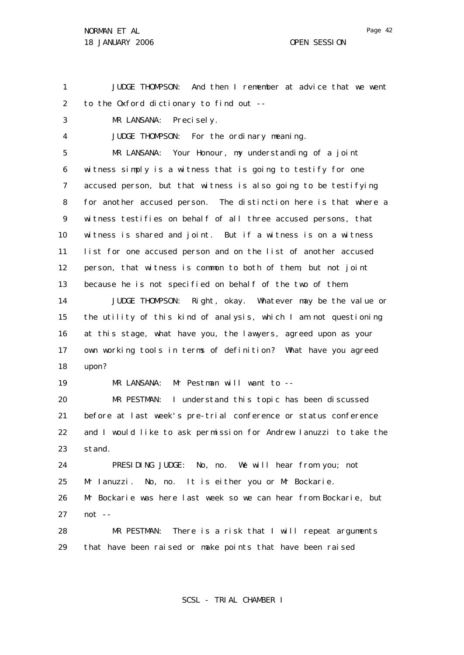1 2 JUDGE THOMPSON: And then I remember at advice that we went to the Oxford dictionary to find out --

3 MR LANSANA: Precisely.

4 JUDGE THOMPSON: For the ordinary meaning.

5 6 7 8 9 10 11 12 13 14 MR LANSANA: Your Honour, my understanding of a joint witness simply is a witness that is going to testify for one accused person, but that witness is also going to be testifying for another accused person. The distinction here is that where a witness testifies on behalf of all three accused persons, that witness is shared and joint. But if a witness is on a witness list for one accused person and on the list of another accused person, that witness is common to both of them, but not joint because he is not specified on behalf of the two of them. JUDGE THOMPSON: Right, okay. Whatever may be the value or

15 16 17 18 the utility of this kind of analysis, which I am not questioning at this stage, what have you, the lawyers, agreed upon as your own working tools in terms of definition? What have you agreed upon?

19 MR LANSANA: Mr Pestman will want to --

20 21 22 23 MR PESTMAN: I understand this topic has been discussed before at last week's pre-trial conference or status conference and I would like to ask permission for Andrew Ianuzzi to take the stand.

24 25 26 27 PRESIDING JUDGE: No, no. We will hear from you; not Mr Ianuzzi. No, no. It is either you or Mr Bockarie. Mr Bockarie was here last week so we can hear from Bockarie, but not --

28 29 MR PESTMAN: There is a risk that I will repeat arguments that have been raised or make points that have been raised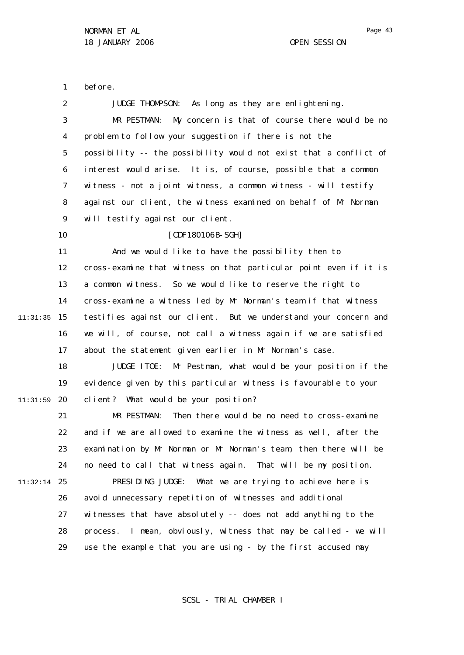1 2 3 4 5 6 7 8 9 10 11 12 13 14 15 11:31:35 16 17 18 19 20 11:31:59 21 22 23 24 25 11:32:14 26 27 28 29 before. JUDGE THOMPSON: As long as they are enlightening. MR PESTMAN: My concern is that of course there would be no problem to follow your suggestion if there is not the possibility -- the possibility would not exist that a conflict of interest would arise. It is, of course, possible that a common witness - not a joint witness, a common witness - will testify against our client, the witness examined on behalf of Mr Norman will testify against our client. [CDF180106B-SGH] And we would like to have the possibility then to cross-examine that witness on that particular point even if it is a common witness. So we would like to reserve the right to cross-examine a witness led by Mr Norman's team if that witness testifies against our client. But we understand your concern and we will, of course, not call a witness again if we are satisfied about the statement given earlier in Mr Norman's case. JUDGE ITOE: Mr Pestman, what would be your position if the evidence given by this particular witness is favourable to your client? What would be your position? MR PESTMAN: Then there would be no need to cross-examine and if we are allowed to examine the witness as well, after the examination by Mr Norman or Mr Norman's team, then there will be no need to call that witness again. That will be my position. PRESIDING JUDGE: What we are trying to achieve here is avoid unnecessary repetition of witnesses and additional witnesses that have absolutely -- does not add anything to the process. I mean, obviously, witness that may be called - we will use the example that you are using - by the first accused may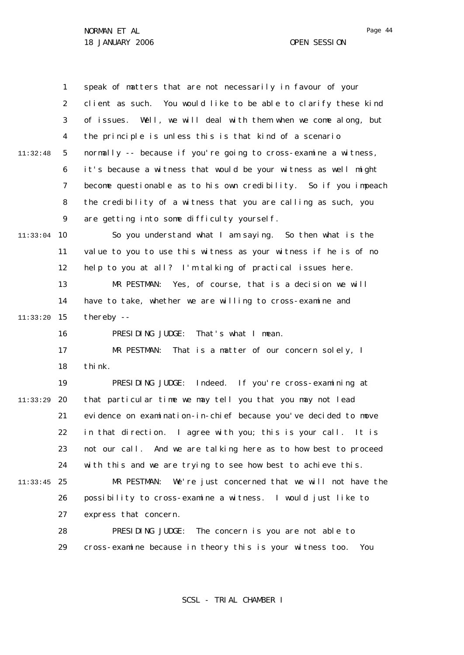1 2 3 4 5 6 7 8  $\mathsf{Q}$ 10 11:33:04 11 12 13 14 15 11:33:20 16 17 18 19 20 11:33:29 21 22 23 24 25 11:33:45 26 27 28 29 11:32:48 speak of matters that are not necessarily in favour of your client as such. You would like to be able to clarify these kind of issues. Well, we will deal with them when we come along, but the principle is unless this is that kind of a scenario normally -- because if you're going to cross-examine a witness, it's because a witness that would be your witness as well might become questionable as to his own credibility. So if you impeach the credibility of a witness that you are calling as such, you are getting into some difficulty yourself. So you understand what I am saying. So then what is the value to you to use this witness as your witness if he is of no help to you at all? I'm talking of practical issues here. MR PESTMAN: Yes, of course, that is a decision we will have to take, whether we are willing to cross-examine and thereby -- PRESIDING JUDGE: That's what I mean. MR PESTMAN: That is a matter of our concern solely, I think. PRESIDING JUDGE: Indeed. If you're cross-examining at that particular time we may tell you that you may not lead evidence on examination-in-chief because you've decided to move in that direction. I agree with you; this is your call. It is not our call. And we are talking here as to how best to proceed with this and we are trying to see how best to achieve this. MR PESTMAN: We're just concerned that we will not have the possibility to cross-examine a witness. I would just like to express that concern. PRESIDING JUDGE: The concern is you are not able to cross-examine because in theory this is your witness too. You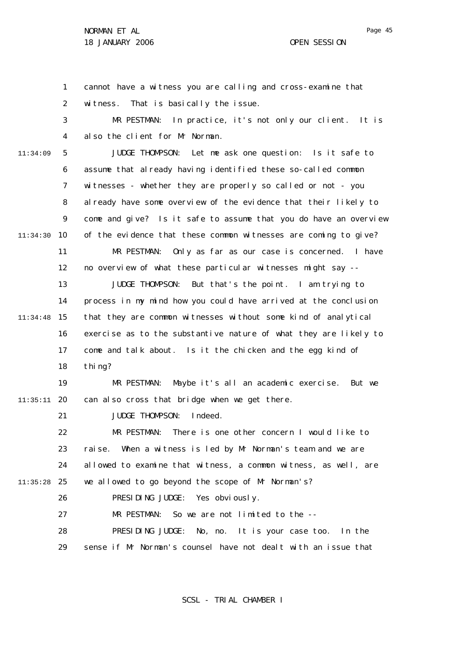1 2 3 4 5 6 7 8  $\mathsf{Q}$ 10 11:34:30 11 12 13 14 15 11:34:48 16 17 18 19 20 11:35:11 21 22 23 24 25 11:35:28 26 27 28 29 11:34:09 cannot have a witness you are calling and cross-examine that witness. That is basically the issue. MR PESTMAN: In practice, it's not only our client. It is also the client for Mr Norman. JUDGE THOMPSON: Let me ask one question: Is it safe to assume that already having identified these so-called common witnesses - whether they are properly so called or not - you al ready have some overview of the evidence that their likely to come and give? Is it safe to assume that you do have an overview of the evidence that these common witnesses are coming to give? MR PESTMAN: Only as far as our case is concerned. I have no overview of what these particular witnesses might say -- JUDGE THOMPSON: But that's the point. I am trying to process in my mind how you could have arrived at the conclusion that they are common witnesses without some kind of analytical exercise as to the substantive nature of what they are likely to come and talk about. Is it the chicken and the egg kind of thi<sub>ng?</sub> MR PESTMAN: Maybe it's all an academic exercise. But we can also cross that bridge when we get there. JUDGE THOMPSON: Indeed. MR PESTMAN: There is one other concern I would like to raise. When a witness is led by Mr Norman's team and we are allowed to examine that witness, a common witness, as well, are we allowed to go beyond the scope of Mr Norman's? PRESIDING JUDGE: Yes obviously. MR PESTMAN: So we are not limited to the --PRESIDING JUDGE: No, no. It is your case too. In the sense if Mr Norman's counsel have not dealt with an issue that

SCSL - TRIAL CHAMBER I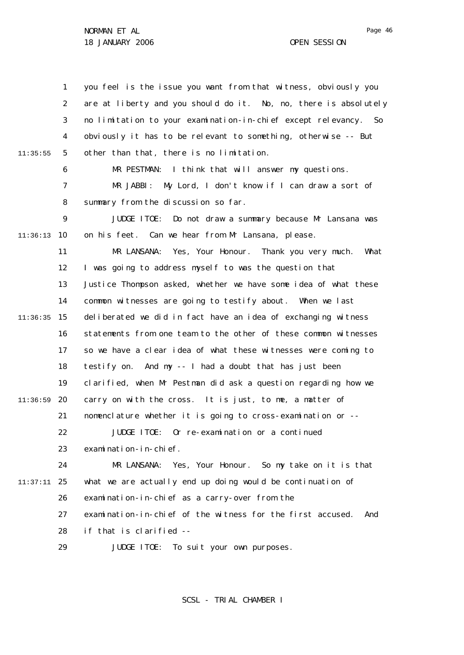1 2 3 4 5 6 7 8  $\mathsf{Q}$ 10 11:36:13 11 12 13 14 15 11:36:35 16 17 18 19 20 11:36:59 21 22 23 24 25 11:37:11 26 27 28 29 11:35:55 you feel is the issue you want from that witness, obviously you are at liberty and you should do it. No, no, there is absolutely no limitation to your examination-in-chief except relevancy. So obviously it has to be relevant to something, otherwise -- But other than that, there is no limitation. MR PESTMAN: I think that will answer my questions. MR JABBI: My Lord, I don't know if I can draw a sort of summary from the discussion so far. JUDGE ITOE: Do not draw a summary because Mr Lansana was on his feet. Can we hear from Mr Lansana, please. MR LANSANA: Yes, Your Honour. Thank you very much. What I was going to address myself to was the question that Justice Thompson asked, whether we have some idea of what these common witnesses are going to testify about. When we last deliberated we did in fact have an idea of exchanging witness statements from one team to the other of these common witnesses so we have a clear idea of what these witnesses were coming to testify on. And my -- I had a doubt that has just been clarified, when Mr Pestman did ask a question regarding how we carry on with the cross. It is just, to me, a matter of nomenclature whether it is going to cross-examination or -- JUDGE ITOE: Or re-examination or a continued examination-in-chief. MR LANSANA: Yes, Your Honour. So my take on it is that what we are actually end up doing would be continuation of examination-in-chief as a carry-over from the examination-in-chief of the witness for the first accused. And if that is clarified -- JUDGE ITOE: To suit your own purposes.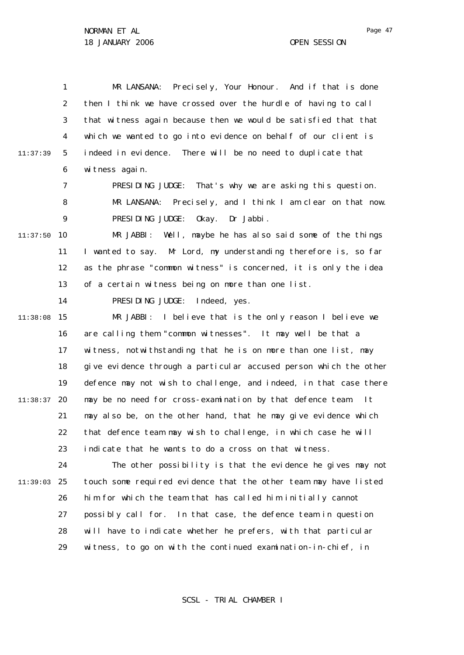1 2 3 4 5 6 11:37:39 MR LANSANA: Precisely, Your Honour. And if that is done then I think we have crossed over the hurdle of having to call that witness again because then we would be satisfied that that which we wanted to go into evidence on behalf of our client is indeed in evidence. There will be no need to duplicate that witness again.

7 PRESIDING JUDGE: That's why we are asking this question.

8  $\mathsf{Q}$ MR LANSANA: Precisely, and I think I am clear on that now. PRESIDING JUDGE: Okay. Dr Jabbi.

10 11:37:50 11 12 13 MR JABBI: Well, maybe he has also said some of the things I wanted to say. Mr Lord, my understanding therefore is, so far as the phrase "common witness" is concerned, it is only the idea of a certain witness being on more than one list.

14

PRESIDING JUDGE: Indeed, yes.

15 11:38:08 16 17 18 19 20 11:38:37 21 22 23 MR JABBI: I believe that is the only reason I believe we are calling them "common witnesses". It may well be that a witness, notwithstanding that he is on more than one list, may give evidence through a particular accused person which the other defence may not wish to challenge, and indeed, in that case there may be no need for cross-examination by that defence team. may also be, on the other hand, that he may give evidence which that defence team may wish to challenge, in which case he will indicate that he wants to do a cross on that witness.

24 25 11:39:03 26 27 28 29 The other possibility is that the evidence he gives may not touch some required evidence that the other team may have listed him for which the team that has called him initially cannot possibly call for. In that case, the defence team in question will have to indicate whether he prefers, with that particular witness, to go on with the continued examination-in-chief, in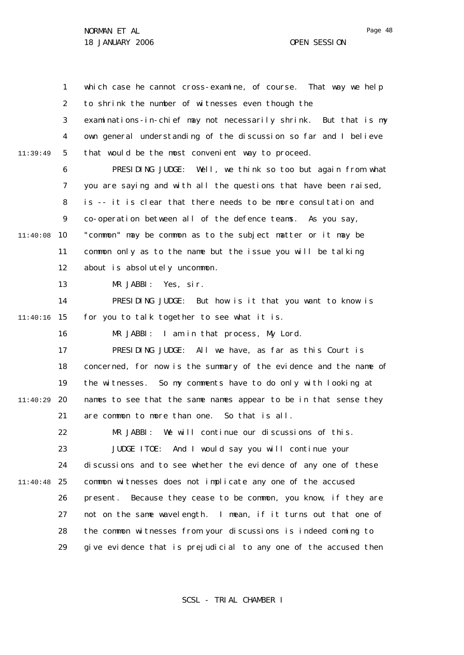1 2 3 4 5 6 7 8  $\mathsf{Q}$ 10 11:40:08 11 12 13 14 15 11:40:16 16 17 18 19 20 11:40:29 21 22 23 24 25 11:40:48 26 27 28 29 11:39:49 which case he cannot cross-examine, of course. That way we help to shrink the number of witnesses even though the examinations-in-chief may not necessarily shrink. But that is my own general understanding of the discussion so far and I believe that would be the most convenient way to proceed. PRESIDING JUDGE: Well, we think so too but again from what you are saying and with all the questions that have been raised, is -- it is clear that there needs to be more consultation and co-operation between all of the defence teams. As you say, "common" may be common as to the subject matter or it may be common only as to the name but the issue you will be talking about is absolutely uncommon. MR JABBI: Yes, sir. PRESIDING JUDGE: But how is it that you want to know is for you to talk together to see what it is. MR JABBI: I am in that process, My Lord. PRESIDING JUDGE: All we have, as far as this Court is concerned, for now is the summary of the evidence and the name of the witnesses. So my comments have to do only with looking at names to see that the same names appear to be in that sense they are common to more than one. So that is all. MR JABBI: We will continue our discussions of this. JUDGE ITOE: And I would say you will continue your discussions and to see whether the evidence of any one of these common witnesses does not implicate any one of the accused present. Because they cease to be common, you know, if they are not on the same wavelength. I mean, if it turns out that one of the common witnesses from your discussions is indeed coming to give evidence that is prejudicial to any one of the accused then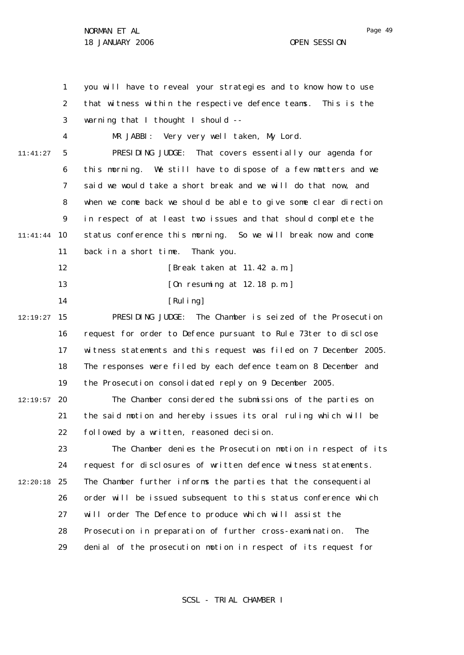1 2 3 4 5 6 7 8  $\mathsf{Q}$ 10 11:41:44 11 12 13 14 15 12:19:27 16 17 18 19 12:19:57 20 21 22 23 24 25 12:20:18 26 27 28 29 11:41:27 you will have to reveal your strategies and to know how to use that witness within the respective defence teams. This is the warning that I thought I should --MR JABBI: Very very well taken, My Lord. PRESIDING JUDGE: That covers essentially our agenda for this morning. We still have to dispose of a few matters and we said we would take a short break and we will do that now, and when we come back we should be able to give some clear direction in respect of at least two issues and that should complete the status conference this morning. So we will break now and come back in a short time. Thank you. [Break taken at 11.42 a.m.] [On resuming at 12.18 p.m.] [Ruling] PRESIDING JUDGE: The Chamber is seized of the Prosecution request for order to Defence pursuant to Rule 73*ter* to disclose witness statements and this request was filed on 7 December 2005. The responses were filed by each defence team on 8 December and the Prosecution consolidated reply on 9 December 2005. The Chamber considered the submissions of the parties on the said motion and hereby issues its oral ruling which will be followed by a written, reasoned decision. The Chamber denies the Prosecution motion in respect of its request for disclosures of written defence witness statements. The Chamber further informs the parties that the consequential order will be issued subsequent to this status conference which will order The Defence to produce which will assist the Prosecution in preparation of further cross-examination. The denial of the prosecution motion in respect of its request for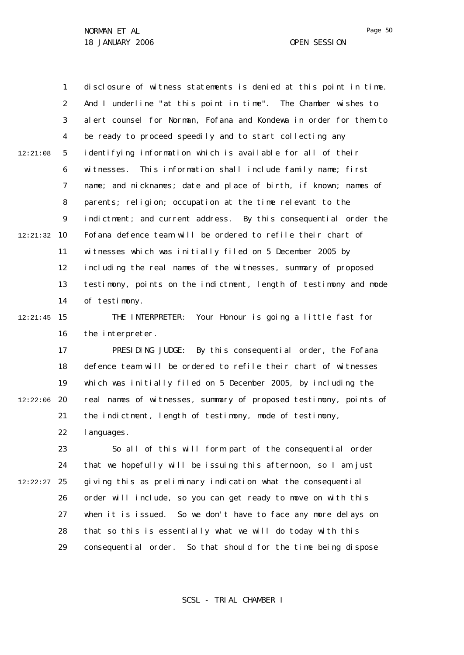1 2 3 4 5 6 7 8  $\mathsf{Q}$ 10 12:21:32 11 12 13 14 15 12:21:45 16 17 18 19 12:22:06 20 21 22 23 24 25 12:22:27 26 27 28 29 12:21:08 disclosure of witness statements is denied at this point in time. And I underline "at this point in time". The Chamber wishes to alert counsel for Norman, Fofana and Kondewa in order for them to be ready to proceed speedily and to start collecting any identifying information which is available for all of their witnesses. This information shall include family name; first name; and nicknames; date and place of birth, if known; names of parents; religion; occupation at the time relevant to the indictment; and current address. By this consequential order the Fofana defence team will be ordered to refile their chart of witnesses which was initially filed on 5 December 2005 by including the real names of the witnesses, summary of proposed testimony, points on the indictment, length of testimony and mode of testimony. THE INTERPRETER: Your Honour is going a little fast for the interpreter. PRESIDING JUDGE: By this consequential order, the Fofana defence team will be ordered to refile their chart of witnesses which was initially filed on 5 December 2005, by including the real names of witnesses, summary of proposed testimony, points of the indictment, length of testimony, mode of testimony, languages. So all of this will form part of the consequential order that we hopefully will be issuing this afternoon, so I am just giving this as preliminary indication what the consequential order will include, so you can get ready to move on with this when it is issued. So we don't have to face any more delays on that so this is essentially what we will do today with this consequential order. So that should for the time being dispose

SCSL - TRIAL CHAMBER I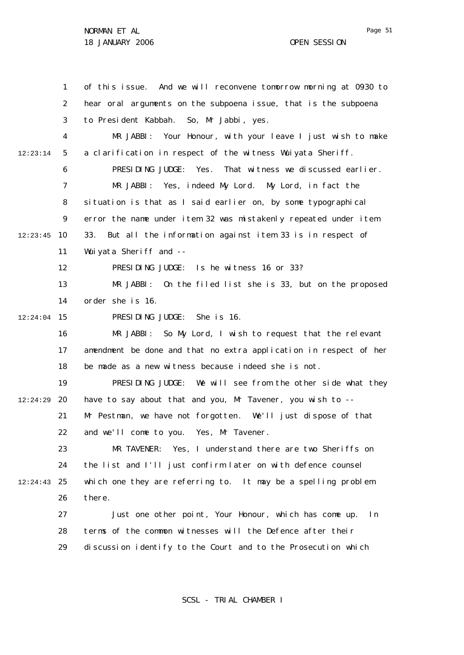1 2 3 4 5 6 7 8  $\mathsf{Q}$ 10 12:23:45 11 12 13 14 15 12:24:04 16 17 18 19 20 12:24:29 21 22 23 24 25 12:24:43 26 27 28 29 12:23:14 of this issue. And we will reconvene tomorrow morning at 0930 to hear oral arguments on the subpoena issue, that is the subpoena to President Kabbah. So, Mr Jabbi, yes. MR JABBI: Your Honour, with your leave I just wish to make a clarification in respect of the witness Wuiyata Sheriff. PRESIDING JUDGE: Yes. That witness we discussed earlier. MR JABBI: Yes, indeed My Lord. My Lord, in fact the situation is that as I said earlier on, by some typographical error the name under item 32 was mistakenly repeated under item 33. But all the information against item 33 is in respect of Wuiyata Sheriff and --PRESIDING JUDGE: Is he witness 16 or 33? MR JABBI: On the filed list she is 33, but on the proposed order she is 16. PRESIDING JUDGE: She is 16. MR JABBI: So My Lord, I wish to request that the relevant amendment be done and that no extra application in respect of her be made as a new witness because indeed she is not. PRESIDING JUDGE: We will see from the other side what they have to say about that and you, Mr Tavener, you wish to --Mr Pestman, we have not forgotten. We'll just dispose of that and we'll come to you. Yes, Mr Tavener. MR TAVENER: Yes, I understand there are two Sheriffs on the list and I'll just confirm later on with defence counsel which one they are referring to. It may be a spelling problem there. Just one other point, Your Honour, which has come up. In terms of the common witnesses will the Defence after their discussion identify to the Court and to the Prosecution which

SCSL - TRIAL CHAMBER I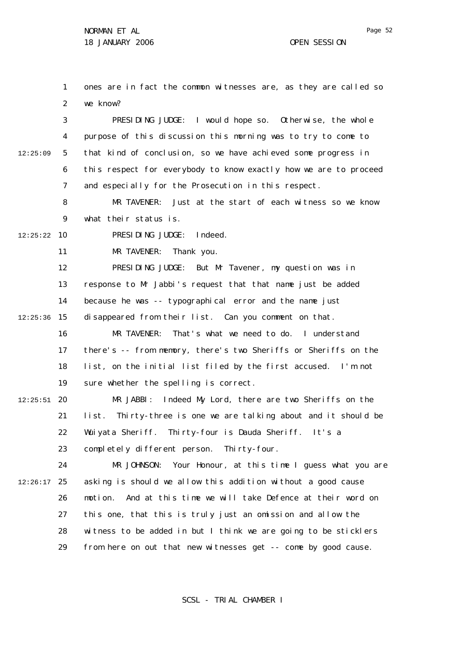1 2 ones are in fact the common witnesses are, as they are called so we know?

3 4 5 6 7 12:25:09 PRESIDING JUDGE: I would hope so. Otherwise, the whole purpose of this discussion this morning was to try to come to that kind of conclusion, so we have achieved some progress in this respect for everybody to know exactly how we are to proceed and especially for the Prosecution in this respect.

> 8  $\mathsf{Q}$ MR TAVENER: Just at the start of each witness so we know what their status is.

10 12:25:22 PRESIDING JUDGE: Indeed.

> 11 MR TAVENER: Thank you.

12 13 14 15 12:25:36 PRESIDING JUDGE: But Mr Tavener, my question was in response to Mr Jabbi's request that that name just be added because he was -- typographical error and the name just disappeared from their list. Can you comment on that.

16 17 18 19 MR TAVENER: That's what we need to do. I understand there's -- from memory, there's two Sheriffs or Sheriffs on the list, on the initial list filed by the first accused. I'm not sure whether the spelling is correct.

20 12:25:51 21 22 23 MR JABBI: Indeed My Lord, there are two Sheriffs on the list. Thirty-three is one we are talking about and it should be Wuiyata Sheriff. Thirty-four is Dauda Sheriff. It's a completely different person. Thirty-four.

24 25 12:26:17 26 27 28 29 MR JOHNSON: Your Honour, at this time I guess what you are asking is should we allow this addition without a good cause motion. And at this time we will take Defence at their word on this one, that this is truly just an omission and allow the witness to be added in but I think we are going to be sticklers from here on out that new witnesses get -- come by good cause.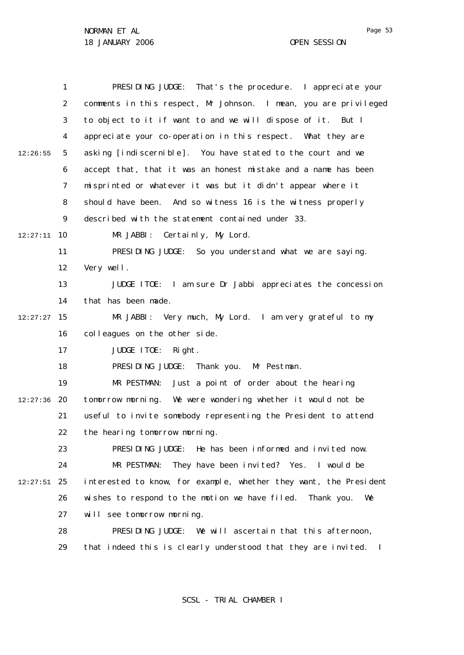|          | 1              | PRESIDING JUDGE: That's the procedure. I appreciate your          |
|----------|----------------|-------------------------------------------------------------------|
|          | $\overline{2}$ | comments in this respect, Mr Johnson. I mean, you are privileged  |
|          | 3              | to object to it if want to and we will dispose of it. But I       |
|          | 4              | appreciate your co-operation in this respect. What they are       |
| 12:26:55 | 5              | asking [indiscernible]. You have stated to the court and we       |
|          | 6              | accept that, that it was an honest mistake and a name has been    |
|          | $\overline{7}$ | misprinted or whatever it was but it didn't appear where it       |
|          | 8              | should have been. And so witness 16 is the witness properly       |
|          | 9              | described with the statement contained under 33.                  |
| 12:27:11 | 10             | MR JABBI: Certainly, My Lord.                                     |
|          | 11             | PRESIDING JUDGE: So you understand what we are saying.            |
|          | 12             | Very well.                                                        |
|          | 13             | JUDGE ITOE: I am sure Dr Jabbi appreciates the concession         |
|          | 14             | that has been made.                                               |
| 12:27:27 | 15             | MR JABBI: Very much, My Lord. I am very grateful to my            |
|          | 16             | colleagues on the other side.                                     |
|          | 17             | JUDGE ITOE:<br>Right.                                             |
|          | 18             | PRESIDING JUDGE: Thank you. Mr Pestman.                           |
|          | 19             | MR PESTMAN: Just a point of order about the hearing               |
| 12:27:36 | 20             | tomorrow morning. We were wondering whether it would not be       |
|          | 21             | useful to invite somebody representing the President to attend    |
|          | 22             | the hearing tomorrow morning.                                     |
|          | 23             | PRESIDING JUDGE: He has been informed and invited now.            |
|          | 24             | MR PESTMAN:<br>They have been invited? Yes. I would be            |
| 12:27:51 | 25             | interested to know, for example, whether they want, the President |
|          | 26             | wishes to respond to the motion we have filed. Thank you.<br>We   |
|          | 27             | will see tomorrow morning.                                        |
|          | 28             | PRESIDING JUDGE: We will ascertain that this afternoon,           |
|          | 29             | that indeed this is clearly understood that they are invited. I   |
|          |                |                                                                   |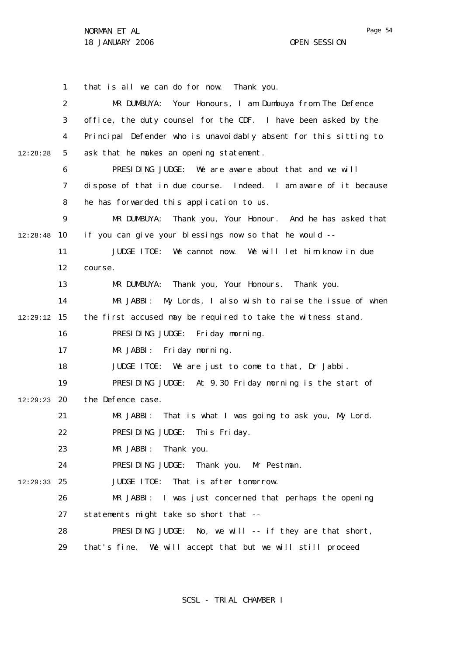1 2 3 4 5 6 7 8  $\mathsf{Q}$ 10 12:28:48 11 12 13 14 15 12:29:12 16 17 18 19 20 12:29:23 21 22 23 24 25 12:29:33 26 27 28 29 12:28:28 that is all we can do for now. Thank you. MR DUMBUYA: Your Honours, I am Dumbuya from The Defence office, the duty counsel for the CDF. I have been asked by the Principal Defender who is unavoidably absent for this sitting to ask that he makes an opening statement. PRESIDING JUDGE: We are aware about that and we will dispose of that in due course. Indeed. I am aware of it because he has forwarded this application to us. MR DUMBUYA: Thank you, Your Honour. And he has asked that if you can give your blessings now so that he would -- JUDGE ITOE: We cannot now. We will let him know in due course. MR DUMBUYA: Thank you, Your Honours. Thank you. MR JABBI: My Lords, I also wish to raise the issue of when the first accused may be required to take the witness stand. PRESIDING JUDGE: Friday morning. MR JABBI: Friday morning. JUDGE ITOE: We are just to come to that, Dr Jabbi. PRESIDING JUDGE: At 9.30 Friday morning is the start of the Defence case. MR JABBI: That is what I was going to ask you, My Lord. PRESIDING JUDGE: This Friday. MR JABBI: Thank you. PRESIDING JUDGE: Thank you. Mr Pestman. JUDGE ITOE: That is after tomorrow. MR JABBI: I was just concerned that perhaps the opening statements might take so short that -- PRESIDING JUDGE: No, we will -- if they are that short, that's fine. We will accept that but we will still proceed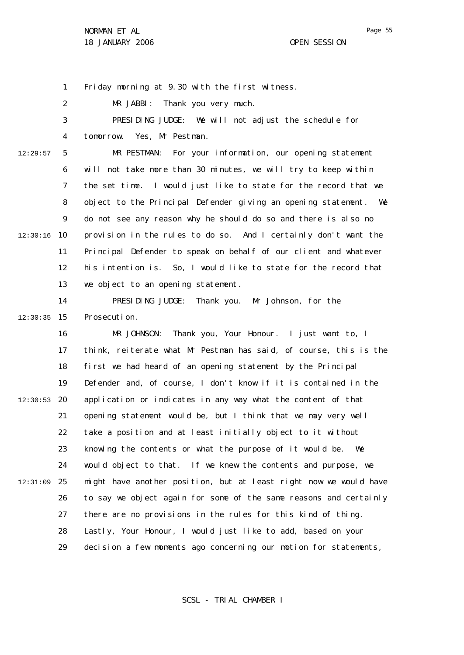1 Friday morning at 9.30 with the first witness.

2 MR JABBI: Thank you very much.

3 4 PRESIDING JUDGE: We will not adjust the schedule for tomorrow. Yes, Mr Pestman.

12:29:57

5 6 7 8  $\mathsf{Q}$ 10 12:30:16 11 12 13 MR PESTMAN: For your information, our opening statement will not take more than 30 minutes, we will try to keep within the set time. I would just like to state for the record that we object to the Principal Defender giving an opening statement. We do not see any reason why he should do so and there is also no provision in the rules to do so. And I certainly don't want the Principal Defender to speak on behalf of our client and whatever his intention is. So, I would like to state for the record that we object to an opening statement.

14 15 12:30:35 PRESIDING JUDGE: Thank you. Mr Johnson, for the Prosecution.

16 17 18 19 20 12:30:53 21 22 23 24 25 12:31:09 26 27 28 29 MR JOHNSON: Thank you, Your Honour. I just want to, I think, reiterate what Mr Pestman has said, of course, this is the first we had heard of an opening statement by the Principal Defender and, of course, I don't know if it is contained in the application or indicates in any way what the content of that opening statement would be, but I think that we may very well take a position and at least initially object to it without knowing the contents or what the purpose of it would be. We would object to that. If we knew the contents and purpose, we might have another position, but at least right now we would have to say we object again for some of the same reasons and certainly there are no provisions in the rules for this kind of thing. Lastly, Your Honour, I would just like to add, based on your decision a few moments ago concerning our motion for statements,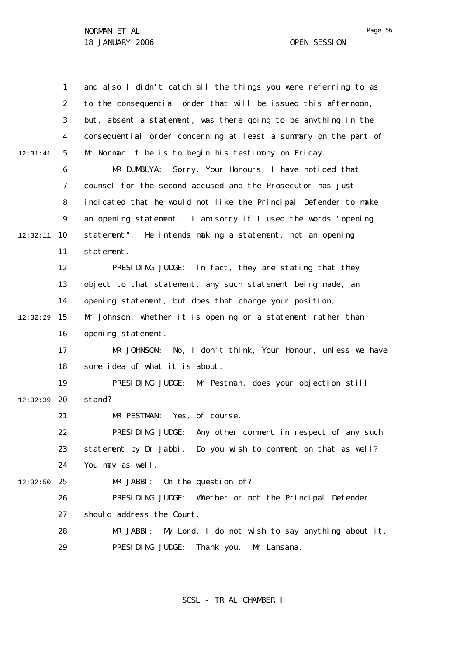|          | 1  | and also I didn't catch all the things you were referring to as   |
|----------|----|-------------------------------------------------------------------|
|          | 2  | to the consequential order that will be issued this afternoon,    |
|          | 3  | but, absent a statement, was there going to be anything in the    |
|          | 4  | consequential order concerning at least a summary on the part of  |
| 12:31:41 | 5  | Mr Norman if he is to begin his testimony on Friday.              |
|          | 6  | Sorry, Your Honours, I have noticed that<br>MR DUMBUYA:           |
|          | 7  | counsel for the second accused and the Prosecutor has just        |
|          | 8  | indicated that he would not like the Principal Defender to make   |
|          | 9  | an opening statement. I am sorry $if I$ used the words "opening   |
| 12:32:11 | 10 | statement". He intends making a statement, not an opening         |
|          | 11 | statement.                                                        |
|          | 12 | PRESIDING JUDGE: In fact, they are stating that they              |
|          | 13 | object to that statement, any such statement being made, an       |
|          | 14 | opening statement, but does that change your position,            |
| 12:32:29 | 15 | Mr Johnson, whether it is opening or a statement rather than      |
|          | 16 | opening statement.                                                |
|          | 17 | MR JOHNSON: No, I don't think, Your Honour, unless we have        |
|          | 18 | some idea of what it is about.                                    |
|          | 19 | PRESIDING JUDGE: Mr Pestman, does your objection still            |
| 12:32:39 | 20 | stand?                                                            |
|          | 21 | MR PESTMAN: Yes, of course.                                       |
|          | 22 | PRESIDING JUDGE:<br>Any other comment in respect of any such      |
|          | 23 | statement by Dr Jabbi.<br>Do you wish to comment on that as well? |
|          | 24 | You may as well.                                                  |
| 12:32:50 | 25 | On the question of?<br>MR JABBI:                                  |
|          | 26 | PRESIDING JUDGE: Whether or not the Principal Defender            |
|          | 27 | should address the Court.                                         |
|          | 28 | My Lord, I do not wish to say anything about it.<br>MR JABBI:     |
|          | 29 | PRESIDING JUDGE:<br>Thank you.<br>Mr Lansana.                     |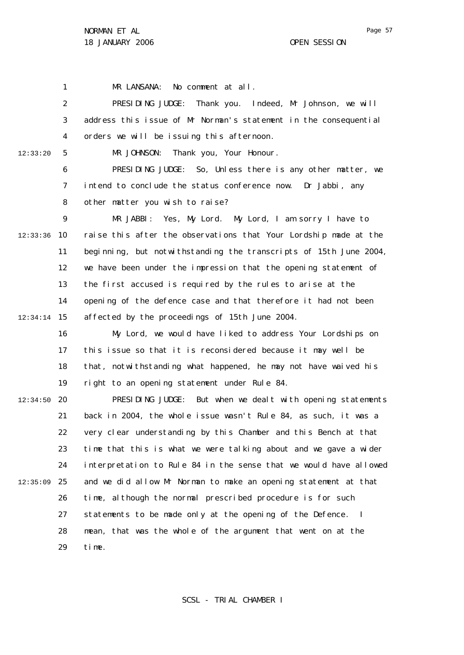12:33:20

1 2 3 4 5 6 7 8  $\mathsf{Q}$ 10 12:33:36 11 12 13 14 15 12:34:14 MR LANSANA: No comment at all. PRESIDING JUDGE: Thank you. Indeed, Mr Johnson, we will address this issue of Mr Norman's statement in the consequential orders we will be issuing this afternoon. MR JOHNSON: Thank you, Your Honour. PRESIDING JUDGE: So, Unless there is any other matter, we intend to conclude the status conference now. Dr Jabbi, any other matter you wish to raise? MR JABBI: Yes, My Lord. My Lord, I am sorry I have to raise this after the observations that Your Lordship made at the beginning, but notwithstanding the transcripts of 15th June 2004, we have been under the impression that the opening statement of the first accused is required by the rules to arise at the opening of the defence case and that therefore it had not been affected by the proceedings of 15th June 2004.

16 17 18 19 My Lord, we would have liked to address Your Lordships on this issue so that it is reconsidered because it may well be that, notwithstanding what happened, he may not have waived his right to an opening statement under Rule 84.

20 12:34:50 21 22 23 24 25 12:35:09 26 27 28 29 PRESIDING JUDGE: But when we dealt with opening statements back in 2004, the whole issue wasn't Rule 84, as such, it was a very clear understanding by this Chamber and this Bench at that time that this is what we were talking about and we gave a wider interpretation to Rule 84 in the sense that we would have allowed and we did allow Mr Norman to make an opening statement at that time, although the normal prescribed procedure is for such statements to be made only at the opening of the Defence. I mean, that was the whole of the argument that went on at the time.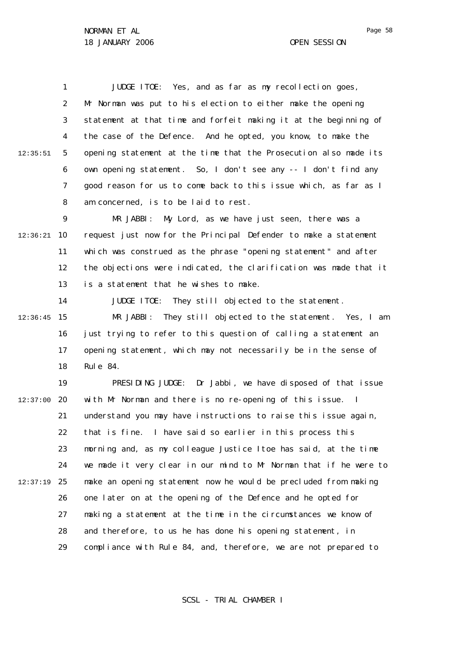1 2 3 4 5 6 7 8 12:35:51 JUDGE ITOE: Yes, and as far as my recollection goes, Mr Norman was put to his election to either make the opening statement at that time and forfeit making it at the beginning of the case of the Defence. And he opted, you know, to make the opening statement at the time that the Prosecution also made its own opening statement. So, I don't see any -- I don't find any good reason for us to come back to this issue which, as far as I am concerned, is to be laid to rest.

 $\mathsf{Q}$ 10 12:36:21 11 12 13 MR JABBI: My Lord, as we have just seen, there was a request just now for the Principal Defender to make a statement which was construed as the phrase "opening statement" and after the objections were indicated, the clarification was made that it is a statement that he wishes to make.

14 15 12:36:45 16 17 18 JUDGE ITOE: They still objected to the statement. MR JABBI: They still objected to the statement. Yes, I am just trying to refer to this question of calling a statement an opening statement, which may not necessarily be in the sense of Rule 84.

19 20 12:37:00 21 22 23 24 25 12:37:19 26 27 28 29 PRESIDING JUDGE: Dr Jabbi, we have disposed of that issue with Mr Norman and there is no re-opening of this issue. I understand you may have instructions to raise this issue again, that is fine. I have said so earlier in this process this morning and, as my colleague Justice Itoe has said, at the time we made it very clear in our mind to Mr Norman that if he were to make an opening statement now he would be precluded from making one later on at the opening of the Defence and he opted for making a statement at the time in the circumstances we know of and therefore, to us he has done his opening statement, in compliance with Rule 84, and, therefore, we are not prepared to